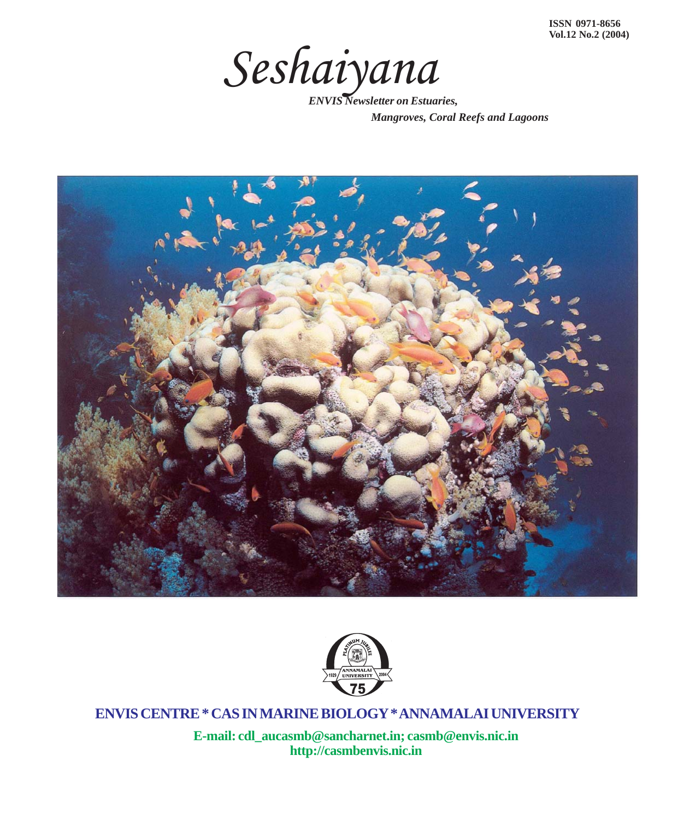

*Mangroves, Coral Reefs and Lagoons*





**ENVIS CENTRE \* CAS IN MARINE BIOLOGY \* ANNAMALAI UNIVERSITY**

1 **http://casmbenvis.nic.inE-mail: cdl\_aucasmb@sancharnet.in; casmb@envis.nic.in**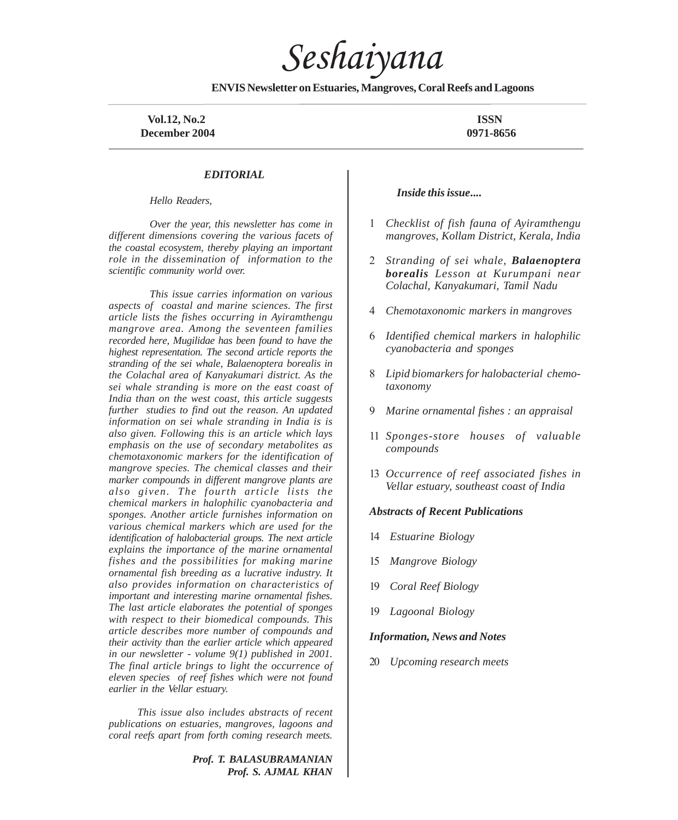*Seshaiyana*

**ENVIS Newsletter on Estuaries, Mangroves, Coral Reefs and Lagoons**

 **Vol.12, No.2 ISSN December 2004** 0971-8656

#### *EDITORIAL*

*Hello Readers,*

*Over the year, this newsletter has come in different dimensions covering the various facets of the coastal ecosystem, thereby playing an important role in the dissemination of information to the scientific community world over.*

*This issue carries information on various aspects of coastal and marine sciences. The first article lists the fishes occurring in Ayiramthengu mangrove area. Among the seventeen families recorded here, Mugilidae has been found to have the highest representation. The second article reports the stranding of the sei whale, Balaenoptera borealis in the Colachal area of Kanyakumari district. As the sei whale stranding is more on the east coast of India than on the west coast, this article suggests further studies to find out the reason. An updated information on sei whale stranding in India is is also given. Following this is an article which lays emphasis on the use of secondary metabolites as chemotaxonomic markers for the identification of mangrove species. The chemical classes and their marker compounds in different mangrove plants are also given. The fourth article lists the chemical markers in halophilic cyanobacteria and sponges. Another article furnishes information on various chemical markers which are used for the identification of halobacterial groups. The next article explains the importance of the marine ornamental fishes and the possibilities for making marine ornamental fish breeding as a lucrative industry. It also provides information on characteristics of important and interesting marine ornamental fishes. The last article elaborates the potential of sponges with respect to their biomedical compounds. This article describes more number of compounds and their activity than the earlier article which appeared in our newsletter - volume 9(1) published in 2001. The final article brings to light the occurrence of eleven species of reef fishes which were not found earlier in the Vellar estuary.*

*This issue also includes abstracts of recent publications on estuaries, mangroves, lagoons and coral reefs apart from forth coming research meets.*

> *Prof. T. BALASUBRAMANIAN Prof. S. AJMAL KHAN*

#### *Inside this issue***....**

- 1 *Checklist of fish fauna of Ayiramthengu mangroves, Kollam District, Kerala, India*
- 2 *Stranding of sei whale, Balaenoptera borealis Lesson at Kurumpani near Colachal, Kanyakumari, Tamil Nadu*
- 4 *Chemotaxonomic markers in mangroves*
- 6 *Identified chemical markers in halophilic cyanobacteria and sponges*
- 8 *Lipid biomarkers for halobacterial chemotaxonomy*
- 9 *Marine ornamental fishes : an appraisal*
- 11 *Sponges-store houses of valuable compounds*
- 13 *Occurrence of reef associated fishes in Vellar estuary, southeast coast of India*

#### *Abstracts of Recent Publications*

- 14 *Estuarine Biology*
- 15 *Mangrove Biology*
- 19 *Coral Reef Biology*
- 19 *Lagoonal Biology*

#### *Information, News and Notes*

20 *Upcoming research meets*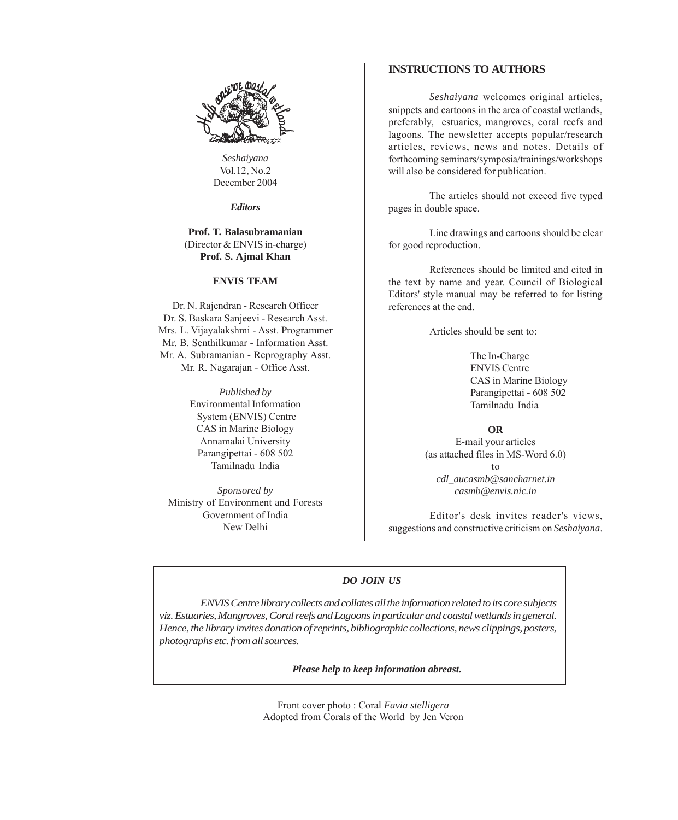

*Seshaiyana* Vol.12, No.2 December 2004

*Editors*

#### **Prof. T. Balasubramanian** (Director & ENVIS in-charge) **Prof. S. Ajmal Khan**

# **ENVIS TEAM**

Dr. N. Rajendran - Research Officer Dr. S. Baskara Sanjeevi - Research Asst. Mrs. L. Vijayalakshmi - Asst. Programmer Mr. B. Senthilkumar - Information Asst. Mr. A. Subramanian - Reprography Asst. Mr. R. Nagarajan - Office Asst.

> *Published by* Environmental Information System (ENVIS) Centre CAS in Marine Biology Annamalai University Parangipettai - 608 502 Tamilnadu India

*Sponsored by* Ministry of Environment and Forests Government of India New Delhi

# **INSTRUCTIONS TO AUTHORS**

*Seshaiyana* welcomes original articles, snippets and cartoons in the area of coastal wetlands, preferably, estuaries, mangroves, coral reefs and lagoons. The newsletter accepts popular/research articles, reviews, news and notes. Details of forthcoming seminars/symposia/trainings/workshops will also be considered for publication.

The articles should not exceed five typed pages in double space.

Line drawings and cartoons should be clear for good reproduction.

References should be limited and cited in the text by name and year. Council of Biological Editors' style manual may be referred to for listing references at the end.

Articles should be sent to:

The In-Charge ENVIS Centre CAS in Marine Biology Parangipettai - 608 502 Tamilnadu India

**OR**

E-mail your articles (as attached files in MS-Word 6.0) to *cdl\_aucasmb@sancharnet.in casmb@envis.nic.in*

Editor's desk invites reader's views, suggestions and constructive criticism on *Seshaiyana*.

# *DO JOIN US*

*ENVIS Centre library collects and collates all the information related to its core subjects viz. Estuaries, Mangroves, Coral reefs and Lagoons in particular and coastal wetlands in general. Hence, the library invites donation of reprints, bibliographic collections, news clippings, posters, photographs etc. from all sources.*

*Please help to keep information abreast.*

Front cover photo : Coral *Favia stelligera* Adopted from Corals of the World by Jen Veron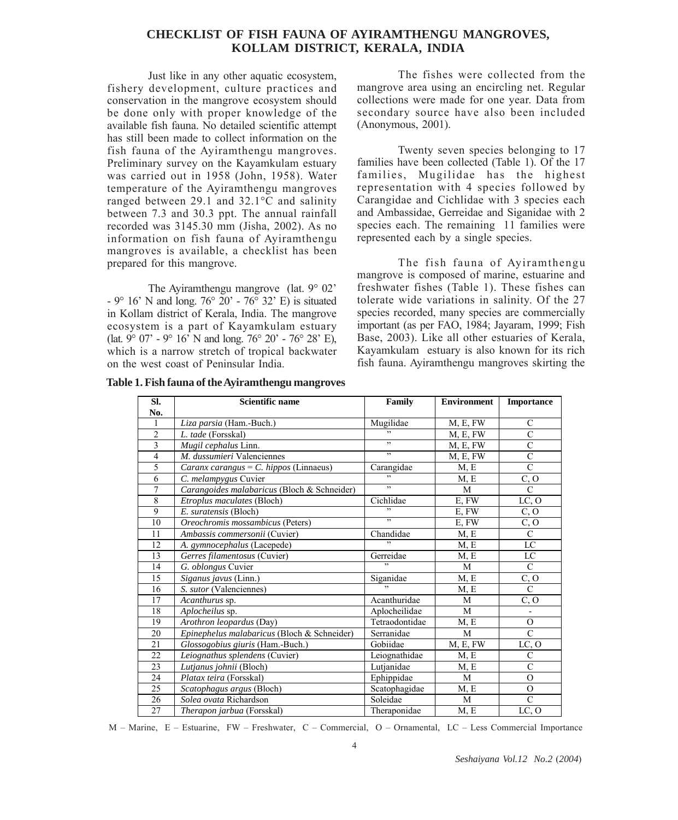# **CHECKLIST OF FISH FAUNA OF AYIRAMTHENGU MANGROVES, KOLLAM DISTRICT, KERALA, INDIA**

Just like in any other aquatic ecosystem, fishery development, culture practices and conservation in the mangrove ecosystem should be done only with proper knowledge of the available fish fauna. No detailed scientific attempt has still been made to collect information on the fish fauna of the Ayiramthengu mangroves. Preliminary survey on the Kayamkulam estuary was carried out in 1958 (John, 1958). Water temperature of the Ayiramthengu mangroves ranged between 29.1 and 32.1°C and salinity between 7.3 and 30.3 ppt. The annual rainfall recorded was 3145.30 mm (Jisha, 2002). As no information on fish fauna of Ayiramthengu mangroves is available, a checklist has been prepared for this mangrove.

The Ayiramthengu mangrove (lat. 9° 02' - 9° 16' N and long. 76° 20' - 76° 32' E) is situated in Kollam district of Kerala, India. The mangrove ecosystem is a part of Kayamkulam estuary (lat.  $9^{\circ}$  07' -  $9^{\circ}$  16' N and long. 76° 20' - 76° 28' E), which is a narrow stretch of tropical backwater on the west coast of Peninsular India.

The fishes were collected from the mangrove area using an encircling net. Regular collections were made for one year. Data from secondary source have also been included (Anonymous, 2001).

Twenty seven species belonging to 17 families have been collected (Table 1). Of the 17 families, Mugilidae has the highest representation with 4 species followed by Carangidae and Cichlidae with 3 species each and Ambassidae, Gerreidae and Siganidae with 2 species each. The remaining 11 families were represented each by a single species.

The fish fauna of Ayiramthengu mangrove is composed of marine, estuarine and freshwater fishes (Table 1). These fishes can tolerate wide variations in salinity. Of the 27 species recorded, many species are commercially important (as per FAO, 1984; Jayaram, 1999; Fish Base, 2003). Like all other estuaries of Kerala, Kayamkulam estuary is also known for its rich fish fauna. Ayiramthengu mangroves skirting the

| SI.             | <b>Scientific name</b>                      | Family                   | <b>Environment</b> | <b>Importance</b> |
|-----------------|---------------------------------------------|--------------------------|--------------------|-------------------|
| No.             |                                             |                          |                    |                   |
| 1               | Liza parsia (Ham.-Buch.)                    | Mugilidae                | M, E, FW           | $\mathbf C$       |
| $\mathfrak{2}$  | L. tade (Forsskal)                          |                          | M, E, FW           | $\overline{C}$    |
| 3               | Mugil cephalus Linn.                        | $\overline{\phantom{a}}$ | M, E, FW           | $\mathcal{C}$     |
| $\overline{4}$  | M. dussumieri Valenciennes                  | "                        | M, E, FW           | $\overline{C}$    |
| 5               | Caranx carangus = $C.$ hippos (Linnaeus)    | Carangidae               | M, E               | $\mathcal{C}$     |
| 6               | C. melampygus Cuvier                        | $\overline{\phantom{a}}$ | M, E               | C, O              |
| $\overline{7}$  | Carangoides malabaricus (Bloch & Schneider) | $\overline{\phantom{0}}$ | M                  | $\overline{C}$    |
| 8               | Etroplus maculates (Bloch)                  | Cichlidae                | E, FW              | LC, O             |
| 9               | E. suratensis (Bloch)                       | ,                        | E, FW              | C, O              |
| 10              | Oreochromis mossambicus (Peters)            | $\overline{\phantom{0}}$ | E, FW              | $\overline{C, O}$ |
| 11              | Ambassis commersonii (Cuvier)               | Chandidae                | M, E               | $\mathcal{C}$     |
| 12              | A. gymnocephalus (Lacepede)                 | ,                        | M, E               | LC                |
| 13              | Gerres filamentosus (Cuvier)                | Gerreidae                | M, E               | LC                |
| 14              | G. oblongus Cuvier                          | $\ddot{\phantom{0}}$     | M                  | $\mathbf C$       |
| 15              | Siganus javus (Linn.)                       | Siganidae                | M, E               | C, O              |
| 16              | S. sutor (Valenciennes)                     |                          | M, E               | $\mathcal{C}$     |
| 17              | Acanthurus sp.                              | Acanthuridae             | M                  | C, O              |
| 18              | Aplocheilus sp.                             | Aplocheilidae            | M                  | $\frac{1}{2}$     |
| 19              | Arothron leopardus (Day)                    | Tetraodontidae           | M, E               | $\mathbf{O}$      |
| 20              | Epinephelus malabaricus (Bloch & Schneider) | Serranidae               | M                  | $\overline{C}$    |
| 21              | Glossogobius giuris (Ham.-Buch.)            | Gobiidae                 | M, E, FW           | LC, O             |
| 22              | Leiognathus splendens (Cuvier)              | Leiognathidae            | M, E               | $\overline{C}$    |
| 23              | Lutjanus johnii (Bloch)                     | Lutjanidae               | M, E               | $\mathcal{C}$     |
| 24              | Platax teira (Forsskal)                     | Ephippidae               | M                  | $\Omega$          |
| 25              | Scatophagus argus (Bloch)                   | Scatophagidae            | M, E               | $\Omega$          |
| 26              | Solea ovata Richardson                      | Soleidae                 | M                  | $\overline{C}$    |
| $\overline{27}$ | Therapon jarbua (Forsskal)                  | Theraponidae             | M, E               | LC, O             |

**Table 1. Fish fauna of the Ayiramthengu mangroves**

M – Marine, E – Estuarine, FW – Freshwater, C – Commercial, O – Ornamental, LC – Less Commercial Importance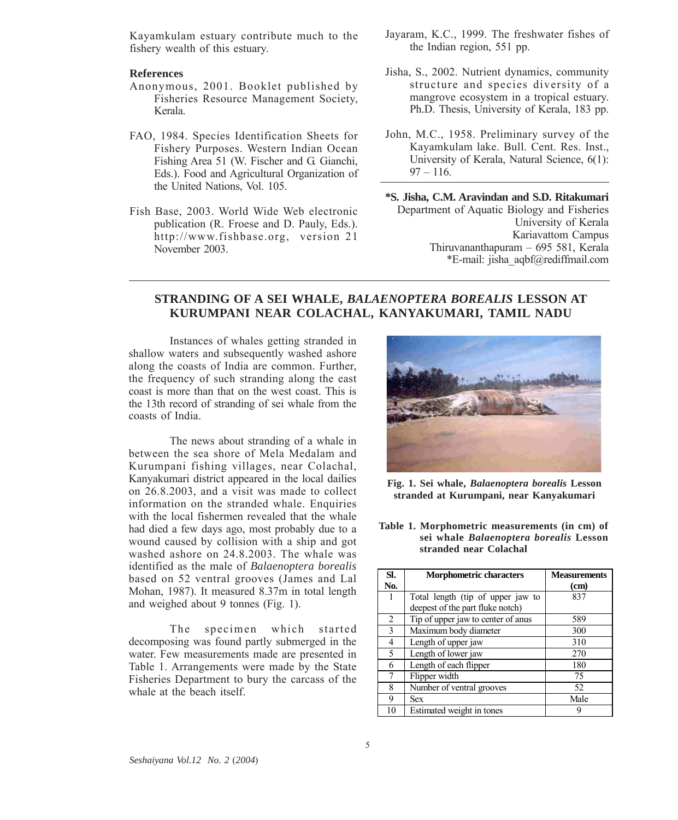Kayamkulam estuary contribute much to the fishery wealth of this estuary.

# **References**

- Anonymous, 2001. Booklet published by Fisheries Resource Management Society, Kerala.
- FAO, 1984. Species Identification Sheets for Fishery Purposes. Western Indian Ocean Fishing Area 51 (W. Fischer and G. Gianchi, Eds.). Food and Agricultural Organization of the United Nations, Vol. 105.
- Fish Base, 2003. World Wide Web electronic publication (R. Froese and D. Pauly, Eds.). http://www.fishbase.org, version 21 November 2003.
- Jayaram, K.C., 1999. The freshwater fishes of the Indian region, 551 pp.
- Jisha, S., 2002. Nutrient dynamics, community structure and species diversity of a mangrove ecosystem in a tropical estuary. Ph.D. Thesis, University of Kerala, 183 pp.
- John, M.C., 1958. Preliminary survey of the Kayamkulam lake. Bull. Cent. Res. Inst., University of Kerala, Natural Science, 6(1):  $97 - 116$ .

**\*S. Jisha, C.M. Aravindan and S.D. Ritakumari** Department of Aquatic Biology and Fisheries University of Kerala Kariavattom Campus Thiruvananthapuram – 695 581, Kerala \*E-mail: jisha\_aqbf@rediffmail.com

# **STRANDING OF A SEI WHALE,** *BALAENOPTERA BOREALIS* **LESSON AT KURUMPANI NEAR COLACHAL, KANYAKUMARI, TAMIL NADU**

Instances of whales getting stranded in shallow waters and subsequently washed ashore along the coasts of India are common. Further, the frequency of such stranding along the east coast is more than that on the west coast. This is the 13th record of stranding of sei whale from the coasts of India.

The news about stranding of a whale in between the sea shore of Mela Medalam and Kurumpani fishing villages, near Colachal, Kanyakumari district appeared in the local dailies on 26.8.2003, and a visit was made to collect information on the stranded whale. Enquiries with the local fishermen revealed that the whale had died a few days ago, most probably due to a wound caused by collision with a ship and got washed ashore on 24.8.2003. The whale was identified as the male of *Balaenoptera borealis* based on 52 ventral grooves (James and Lal Mohan, 1987). It measured 8.37m in total length and weighed about 9 tonnes (Fig. 1).

The specimen which started decomposing was found partly submerged in the water. Few measurements made are presented in Table 1. Arrangements were made by the State Fisheries Department to bury the carcass of the whale at the beach itself.



**Fig. 1. Sei whale,** *Balaenoptera borealis* **Lesson stranded at Kurumpani, near Kanyakumari**

**Table 1. Morphometric measurements (in cm) of sei whale** *Balaenoptera borealis* **Lesson stranded near Colachal**

| SI. | <b>Morphometric characters</b>     | <b>Measurements</b> |
|-----|------------------------------------|---------------------|
| No. |                                    | (cm)                |
| ı   | Total length (tip of upper jaw to  | 837                 |
|     | deepest of the part fluke notch)   |                     |
| 2   | Tip of upper jaw to center of anus | 589                 |
| 3   | Maximum body diameter              | 300                 |
| 4   | Length of upper jaw                | 310                 |
| 5   | Length of lower jaw                | 270                 |
| 6   | Length of each flipper             | 180                 |
| 7   | Flipper width                      | 75                  |
| 8   | Number of ventral grooves          | 52                  |
| 9   | Sex                                | Male                |
| 10  | Estimated weight in tones          |                     |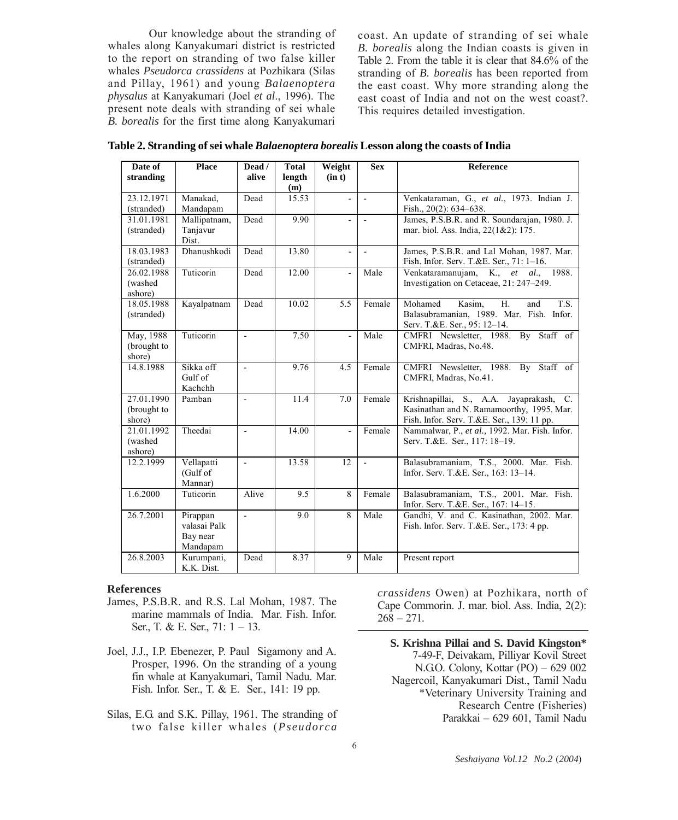Our knowledge about the stranding of whales along Kanyakumari district is restricted to the report on stranding of two false killer whales *Pseudorca crassidens* at Pozhikara (Silas and Pillay, 1961) and young *Balaenoptera physalus* at Kanyakumari (Joel *et al*., 1996). The present note deals with stranding of sei whale *B. borealis* for the first time along Kanyakumari

coast. An update of stranding of sei whale *B. borealis* along the Indian coasts is given in Table 2. From the table it is clear that 84.6% of the stranding of *B. borealis* has been reported from the east coast. Why more stranding along the east coast of India and not on the west coast?. This requires detailed investigation.

**Table 2. Stranding of sei whale** *Balaenoptera borealis* **Lesson along the coasts of India**

| Date of               | <b>Place</b> | Dead /                   | <b>Total</b> | Weight         | <b>Sex</b>     | Reference                                          |
|-----------------------|--------------|--------------------------|--------------|----------------|----------------|----------------------------------------------------|
| stranding             |              | alive                    | length       | (in t)         |                |                                                    |
|                       |              |                          | (m)          |                |                |                                                    |
| 23.12.1971            | Manakad,     | Dead                     | 15.53        | $\overline{a}$ | $\overline{a}$ | Venkataraman, G., et al., 1973. Indian J.          |
| (stranded)            | Mandapam     |                          |              |                |                | Fish., 20(2): 634-638.                             |
| 31.01.1981            | Mallipatnam, | Dead                     | 9.90         | $\overline{a}$ | $\mathbf{r}$   | James, P.S.B.R. and R. Soundarajan, 1980. J.       |
| (stranded)            | Tanjavur     |                          |              |                |                | mar. biol. Ass. India, 22(1&2): 175.               |
|                       | Dist.        |                          |              |                |                |                                                    |
| 18.03.1983            | Dhanushkodi  | Dead                     | 13.80        | $\sim$         | $\overline{a}$ | James, P.S.B.R. and Lal Mohan, 1987. Mar.          |
| (stranded)            |              |                          |              |                |                | Fish. Infor. Serv. T.&E. Ser., 71: 1-16.           |
| 26.02.1988            | Tuticorin    | Dead                     | 12.00        | $\overline{a}$ | Male           | Venkataramanujam, K., et al., 1988.                |
| (washed)<br>ashore)   |              |                          |              |                |                | Investigation on Cetaceae, 21: 247-249.            |
| 18.05.1988            | Kayalpatnam  | Dead                     | 10.02        | 5.5            | Female         | $\overline{S}$ .<br>Mohamed<br>Kasim.<br>H.<br>and |
| (stranded)            |              |                          |              |                |                | Balasubramanian, 1989. Mar. Fish. Infor.           |
|                       |              |                          |              |                |                | Serv. T.&E. Ser., 95: 12-14.                       |
| May, 1988             | Tuticorin    | $\blacksquare$           | 7.50         | $\overline{a}$ | Male           | CMFRI Newsletter, 1988. By Staff of                |
| (brought to           |              |                          |              |                |                | CMFRI, Madras, No.48.                              |
| shore)                |              |                          |              |                |                |                                                    |
| 14.8.1988             | Sikka off    | $\sim$                   | 9.76         | 4.5            | Female         | CMFRI Newsletter, 1988. By Staff of                |
|                       | Gulf of      |                          |              |                |                | CMFRI, Madras, No.41.                              |
|                       | Kachchh      |                          |              |                |                |                                                    |
| 27.01.1990            | Pamban       | $\overline{\phantom{a}}$ | 11.4         | 7.0            | Female         | Krishnapillai, S., A.A. Jayaprakash, C.            |
| (brought to           |              |                          |              |                |                | Kasinathan and N. Ramamoorthy, 1995. Mar.          |
| shore)                |              |                          |              |                |                | Fish. Infor. Serv. T.&E. Ser., 139: 11 pp.         |
| 21.01.1992<br>(washed | Theedai      | $\overline{\phantom{a}}$ | 14.00        | ÷,             | Female         | Nammalwar, P., et al., 1992. Mar. Fish. Infor.     |
| ashore)               |              |                          |              |                |                | Serv. T.&E. Ser., 117: 18-19.                      |
| 12.2.1999             | Vellapatti   | $\sim$                   | 13.58        | 12             | $\mathbf{r}$   | Balasubramaniam, T.S., 2000. Mar. Fish.            |
|                       | (Gulf of     |                          |              |                |                | Infor. Serv. T.&E. Ser., 163: 13-14.               |
|                       | Mannar)      |                          |              |                |                |                                                    |
| 1.6.2000              | Tuticorin    | Alive                    | 9.5          | 8              | Female         | Balasubramaniam, T.S., 2001. Mar. Fish.            |
|                       |              |                          |              |                |                | Infor. Serv. T.&E. Ser., 167: 14-15.               |
| 26.7.2001             | Pirappan     | $\sim$                   | 9.0          | 8              | Male           | Gandhi, V. and C. Kasinathan, 2002. Mar.           |
|                       | valasai Palk |                          |              |                |                | Fish. Infor. Serv. T.&E. Ser., 173: 4 pp.          |
|                       | Bay near     |                          |              |                |                |                                                    |
|                       | Mandapam     |                          |              |                |                |                                                    |
| 26.8.2003             | Kurumpani,   | Dead                     | 8.37         | 9              | Male           | Present report                                     |
|                       | K.K. Dist.   |                          |              |                |                |                                                    |

#### **References**

- James, P.S.B.R. and R.S. Lal Mohan, 1987. The marine mammals of India. Mar. Fish. Infor. Ser., T. & E. Ser., 71: 1 – 13.
- Joel, J.J., I.P. Ebenezer, P. Paul Sigamony and A. Prosper, 1996. On the stranding of a young fin whale at Kanyakumari, Tamil Nadu. Mar. Fish. Infor. Ser., T. & E. Ser., 141: 19 pp.
- Silas, E.G. and S.K. Pillay, 1961. The stranding of two false killer whales (*Pseudorca*

*crassidens* Owen) at Pozhikara, north of Cape Commorin. J. mar. biol. Ass. India, 2(2):  $268 - 271$ .

**S. Krishna Pillai and S. David Kingston\*** 7-49-F, Deivakam, Pilliyar Kovil Street N.G.O. Colony, Kottar (PO) – 629 002 Nagercoil, Kanyakumari Dist., Tamil Nadu \*Veterinary University Training and Research Centre (Fisheries) Parakkai – 629 601, Tamil Nadu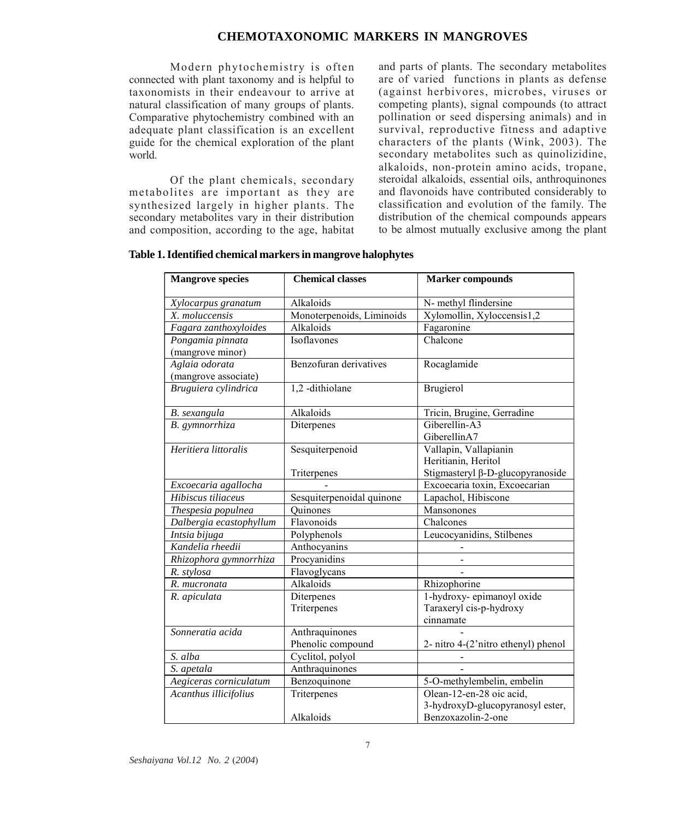# **CHEMOTAXONOMIC MARKERS IN MANGROVES**

Modern phytochemistry is often connected with plant taxonomy and is helpful to taxonomists in their endeavour to arrive at natural classification of many groups of plants. Comparative phytochemistry combined with an adequate plant classification is an excellent guide for the chemical exploration of the plant world.

Of the plant chemicals, secondary metabolites are important as they are synthesized largely in higher plants. The secondary metabolites vary in their distribution and composition, according to the age, habitat and parts of plants. The secondary metabolites are of varied functions in plants as defense (against herbivores, microbes, viruses or competing plants), signal compounds (to attract pollination or seed dispersing animals) and in survival, reproductive fitness and adaptive characters of the plants (Wink, 2003). The secondary metabolites such as quinolizidine, alkaloids, non-protein amino acids, tropane, steroidal alkaloids, essential oils, anthroquinones and flavonoids have contributed considerably to classification and evolution of the family. The distribution of the chemical compounds appears to be almost mutually exclusive among the plant

| <b>Mangrove species</b>                    | <b>Chemical classes</b>             | <b>Marker compounds</b>                                                                 |  |
|--------------------------------------------|-------------------------------------|-----------------------------------------------------------------------------------------|--|
| Xylocarpus granatum                        | Alkaloids                           | N- methyl flindersine                                                                   |  |
| X. moluccensis                             | Monoterpenoids, Liminoids           | Xylomollin, Xyloccensis1,2                                                              |  |
| Fagara zanthoxyloides                      | Alkaloids                           | Fagaronine                                                                              |  |
| Pongamia pinnata<br>(mangrove minor)       | Isoflavones                         | Chalcone                                                                                |  |
| Aglaia odorata<br>(mangrove associate)     | Benzofuran derivatives              | Rocaglamide                                                                             |  |
| Bruguiera cylindrica                       | 1,2 -dithiolane                     | Brugierol                                                                               |  |
| B. sexangula                               | Alkaloids                           | Tricin, Brugine, Gerradine                                                              |  |
| B. gymnorrhiza                             | Diterpenes                          | Giberellin-A3<br>GiberellinA7                                                           |  |
| Heritiera littoralis                       | Sesquiterpenoid                     | Vallapin, Vallapianin<br>Heritianin, Heritol<br>Stigmasteryl $\beta$ -D-glucopyranoside |  |
|                                            | Triterpenes                         | Excoecaria toxin, Excoecarian                                                           |  |
| Excoecaria agallocha<br>Hibiscus tiliaceus | Sesquiterpenoidal quinone           | Lapachol, Hibiscone                                                                     |  |
| Thespesia populnea                         | Quinones                            | Mansonones                                                                              |  |
| Dalbergia ecastophyllum                    | Flavonoids                          | Chalcones                                                                               |  |
| Intsia bijuga                              | Polyphenols                         | Leucocyanidins, Stilbenes                                                               |  |
| Kandelia rheedii                           | Anthocyanins                        |                                                                                         |  |
| Rhizophora gymnorrhiza                     | Procyanidins                        |                                                                                         |  |
| R. stylosa                                 | Flavoglycans                        |                                                                                         |  |
| R. mucronata                               | Alkaloids                           | Rhizophorine                                                                            |  |
| R. apiculata                               | Diterpenes<br>Triterpenes           | 1-hydroxy-epimanoyl oxide<br>Taraxeryl cis-p-hydroxy<br>cinnamate                       |  |
| Sonneratia acida                           | Anthraquinones<br>Phenolic compound | 2- nitro 4-(2'nitro ethenyl) phenol                                                     |  |
| S. alba                                    | Cyclitol, polyol                    |                                                                                         |  |
| S. apetala                                 | Anthraquinones                      |                                                                                         |  |
| Aegiceras corniculatum                     | Benzoquinone                        | 5-O-methylembelin, embelin                                                              |  |
| Acanthus illicifolius                      | Triterpenes<br>Alkaloids            | Olean-12-en-28 oic acid,<br>3-hydroxyD-glucopyranosyl ester,<br>Benzoxazolin-2-one      |  |

# **Table 1. Identified chemical markers in mangrove halophytes**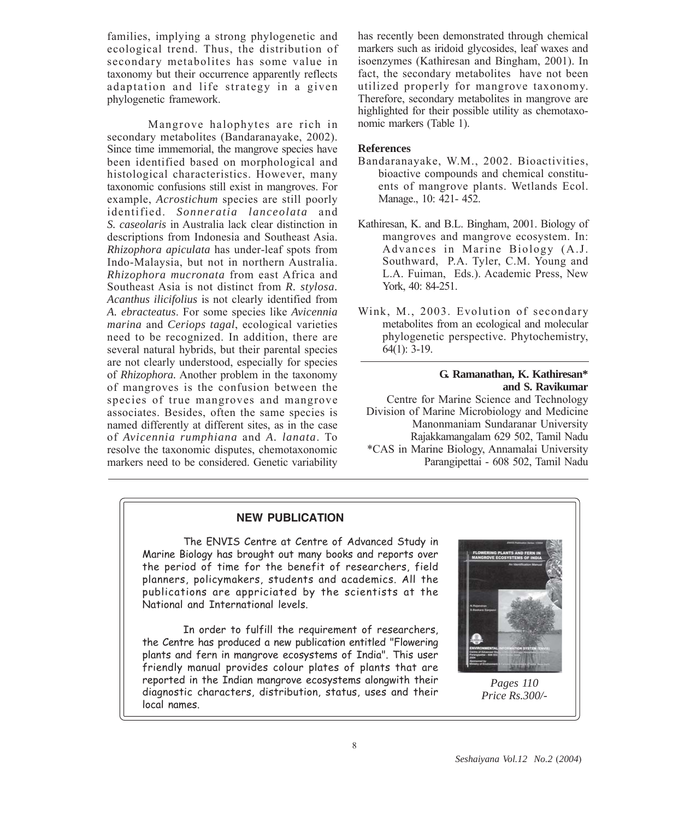families, implying a strong phylogenetic and ecological trend. Thus, the distribution of secondary metabolites has some value in taxonomy but their occurrence apparently reflects adaptation and life strategy in a given phylogenetic framework.

Mangrove halophytes are rich in secondary metabolites (Bandaranayake, 2002). Since time immemorial, the mangrove species have been identified based on morphological and histological characteristics. However, many taxonomic confusions still exist in mangroves. For example, *Acrostichum* species are still poorly identified. *Sonneratia lanceolata* and *S. caseolaris* in Australia lack clear distinction in descriptions from Indonesia and Southeast Asia. *Rhizophora apiculata* has under-leaf spots from Indo-Malaysia, but not in northern Australia. *Rhizophora mucronata* from east Africa and Southeast Asia is not distinct from *R. stylosa. Acanthus ilicifolius* is not clearly identified from *A. ebracteatus*. For some species like *Avicennia marina* and *Ceriops tagal*, ecological varieties need to be recognized. In addition, there are several natural hybrids, but their parental species are not clearly understood, especially for species of *Rhizophora.* Another problem in the taxonomy of mangroves is the confusion between the species of true mangroves and mangrove associates. Besides, often the same species is named differently at different sites, as in the case of *Avicennia rumphiana* and *A. lanata*. To resolve the taxonomic disputes, chemotaxonomic markers need to be considered. Genetic variability

has recently been demonstrated through chemical markers such as iridoid glycosides, leaf waxes and isoenzymes (Kathiresan and Bingham, 2001). In fact, the secondary metabolites have not been utilized properly for mangrove taxonomy. Therefore, secondary metabolites in mangrove are highlighted for their possible utility as chemotaxonomic markers (Table 1).

#### **References**

- Bandaranayake, W.M., 2002. Bioactivities, bioactive compounds and chemical constituents of mangrove plants. Wetlands Ecol. Manage., 10: 421- 452.
- Kathiresan, K. and B.L. Bingham, 2001. Biology of mangroves and mangrove ecosystem. In: Advances in Marine Biology (A.J. Southward, P.A. Tyler, C.M. Young and L.A. Fuiman, Eds.). Academic Press, New York, 40: 84-251.
- Wink, M., 2003. Evolution of secondary metabolites from an ecological and molecular phylogenetic perspective. Phytochemistry, 64(1): 3-19.

# **G. Ramanathan, K. Kathiresan\* and S. Ravikumar**

Centre for Marine Science and Technology Division of Marine Microbiology and Medicine Manonmaniam Sundaranar University Rajakkamangalam 629 502, Tamil Nadu \*CAS in Marine Biology, Annamalai University Parangipettai - 608 502, Tamil Nadu

# **NEW PUBLICATION**

The ENVIS Centre at Centre of Advanced Study in Marine Biology has brought out many books and reports over the period of time for the benefit of researchers, field planners, policymakers, students and academics. All the publications are appriciated by the scientists at the National and International levels.

In order to fulfill the requirement of researchers, the Centre has produced a new publication entitled "Flowering plants and fern in mangrove ecosystems of India". This user friendly manual provides colour plates of plants that are reported in the Indian mangrove ecosystems alongwith their diagnostic characters, distribution, status, uses and their local names.



*Pages 110 Price Rs.300/-*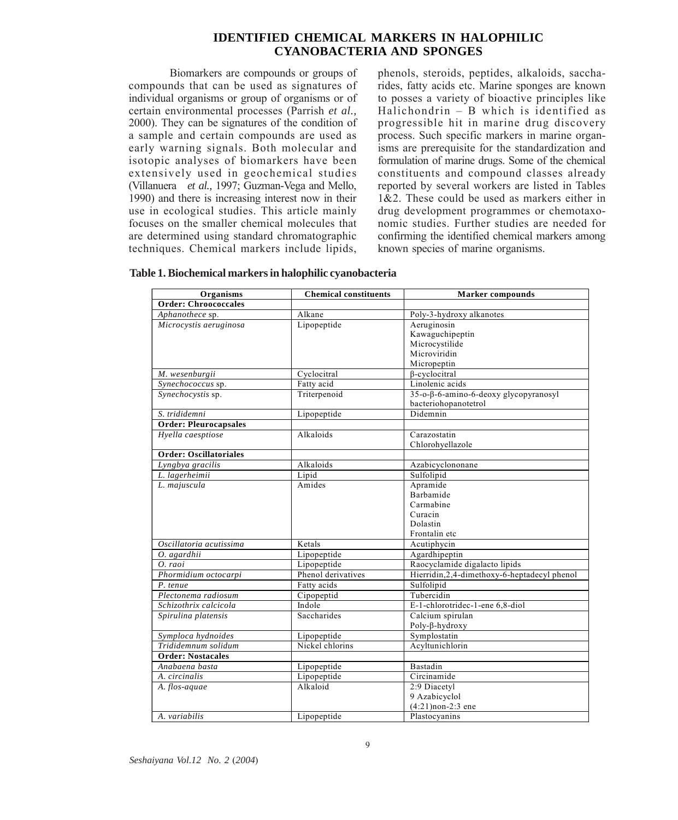# **IDENTIFIED CHEMICAL MARKERS IN HALOPHILIC CYANOBACTERIA AND SPONGES**

Biomarkers are compounds or groups of compounds that can be used as signatures of individual organisms or group of organisms or of certain environmental processes (Parrish *et al.,* 2000). They can be signatures of the condition of a sample and certain compounds are used as early warning signals. Both molecular and isotopic analyses of biomarkers have been extensively used in geochemical studies (Villanuera *et al.,* 1997; Guzman-Vega and Mello, 1990) and there is increasing interest now in their use in ecological studies. This article mainly focuses on the smaller chemical molecules that are determined using standard chromatographic techniques. Chemical markers include lipids,

phenols, steroids, peptides, alkaloids, saccharides, fatty acids etc. Marine sponges are known to posses a variety of bioactive principles like Halichondrin – B which is identified as progressible hit in marine drug discovery process. Such specific markers in marine organisms are prerequisite for the standardization and formulation of marine drugs. Some of the chemical constituents and compound classes already reported by several workers are listed in Tables  $1\&2$ . These could be used as markers either in drug development programmes or chemotaxonomic studies. Further studies are needed for confirming the identified chemical markers among known species of marine organisms.

| Organisms                     | <b>Chemical constituents</b> | <b>Marker</b> compounds                       |  |
|-------------------------------|------------------------------|-----------------------------------------------|--|
| <b>Order: Chroococcales</b>   |                              |                                               |  |
| Aphanothece sp.               | Alkane                       | Poly-3-hydroxy alkanotes                      |  |
| Microcystis aeruginosa        | Lipopeptide                  | Aeruginosin                                   |  |
|                               |                              | Kawaguchipeptin                               |  |
|                               |                              | Microcystilide                                |  |
|                               |                              | Microviridin                                  |  |
|                               |                              | Micropeptin                                   |  |
| M. wesenburgii                | Cyclocitral                  | <b>B-cyclocitral</b>                          |  |
| Synechococcus sp.             | Fatty acid                   | Linolenic acids                               |  |
| Synechocystis sp.             | Triterpenoid                 | 35-o-β-6-amino-6-deoxy glycopyranosyl         |  |
|                               |                              | bacteriohopanotetrol                          |  |
| S. trididemni                 | Lipopeptide                  | Didemnin                                      |  |
| <b>Order: Pleurocapsales</b>  |                              |                                               |  |
| Hyella caesptiose             | Alkaloids                    | Carazostatin                                  |  |
|                               |                              | Chlorohyellazole                              |  |
| <b>Order: Oscillatoriales</b> |                              |                                               |  |
| Lyngbya gracilis              | Alkaloids                    | Azabicyclononane                              |  |
| L. lagerheimii                | Lipid                        | Sulfolipid                                    |  |
| L. majuscula                  | Amides                       | Apramide                                      |  |
|                               |                              | Barbamide                                     |  |
|                               |                              | Carmabine                                     |  |
|                               |                              | Curacin                                       |  |
|                               |                              | Dolastin                                      |  |
|                               |                              | Frontalin etc                                 |  |
| Oscillatoria acutissima       | Ketals                       | Acutiphycin                                   |  |
| O. agardhii                   | Lipopeptide                  | Agardhipeptin                                 |  |
| O. raoi                       | Lipopeptide                  | Raocyclamide digalacto lipids                 |  |
| Phormidium octocarpi          | Phenol derivatives           | Hierridin, 2, 4-dimethoxy-6-heptadecyl phenol |  |
| P. tenue                      | Fatty acids                  | Sulfolipid                                    |  |
| Plectonema radiosum           | Cipopeptid                   | Tubercidin                                    |  |
| Schizothrix calcicola         | Indole                       | E-1-chlorotridec-1-ene 6,8-diol               |  |
| Spirulina platensis           | Saccharides                  | Calcium spirulan                              |  |
|                               |                              | Poly-β-hydroxy                                |  |
| Symploca hydnoides            | Lipopeptide                  | Symplostatin                                  |  |
| Trididemnum solidum           | Nickel chlorins              | Acyltunichlorin                               |  |
| <b>Order: Nostacales</b>      |                              |                                               |  |
| Anabaena basta                | Lipopeptide                  | Bastadin                                      |  |
| A. circinalis                 | Lipopeptide                  | Circinamide                                   |  |
| A. flos-aquae                 | Alkaloid                     | 2:9 Diacetyl                                  |  |
|                               |                              | 9 Azabicyclol                                 |  |
|                               |                              | $(4:21)$ non-2:3 ene                          |  |
| A. variabilis                 | Lipopeptide                  | Plastocyanins                                 |  |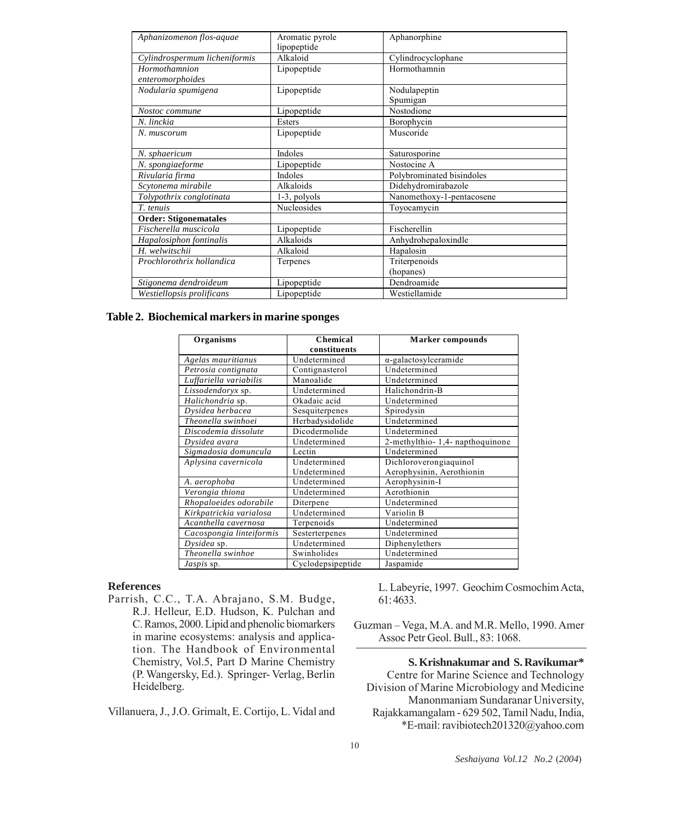| Aphanizomenon flos-aquae      | Aromatic pyrole | Aphanorphine              |
|-------------------------------|-----------------|---------------------------|
|                               | lipopeptide     |                           |
| Cylindrospermum licheniformis | Alkaloid        | Cylindrocyclophane        |
| Hormothamnion                 | Lipopeptide     | Hormothamnin              |
| enteromorphoides              |                 |                           |
| Nodularia spumigena           | Lipopeptide     | Nodulapeptin              |
|                               |                 | Spumigan                  |
| Nostoc commune                | Lipopeptide     | Nostodione                |
| N. linckia                    | Esters          | Borophycin                |
| N. muscorum                   | Lipopeptide     | Muscoride                 |
|                               |                 |                           |
| N. sphaericum                 | Indoles         | Saturosporine             |
| N. spongiaeforme              | Lipopeptide     | Nostocine A               |
| Rivularia firma               | Indoles         | Polybrominated bisindoles |
| Scytonema mirabile            | Alkaloids       | Didehydromirabazole       |
| Tolypothrix conglotinata      | 1-3, polyols    | Nanomethoxy-1-pentacosene |
| T. tenuis                     | Nucleosides     | Toyocamycin               |
| <b>Order: Stigonematales</b>  |                 |                           |
| Fischerella muscicola         | Lipopeptide     | Fischerellin              |
| Hapalosiphon fontinalis       | Alkaloids       | Anhydrohepaloxindle       |
| H. welwitschii                | Alkaloid        | Hapalosin                 |
| Prochlorothrix hollandica     | Terpenes        | Triterpenoids             |
|                               |                 | (hopanes)                 |
| Stigonema dendroideum         | Lipopeptide     | Dendroamide               |
| Westiellopsis prolificans     | Lipopeptide     | Westiellamide             |

**Table 2. Biochemical markers in marine sponges**

| Organisms                | Chemical          | <b>Marker</b> compounds        |  |
|--------------------------|-------------------|--------------------------------|--|
|                          | constituents      |                                |  |
| Agelas mauritianus       | Undetermined      | $\alpha$ -galactosylceramide   |  |
| Petrosia contignata      | Contignasterol    | Undetermined                   |  |
| Luffariella variabilis   | Manoalide         | Undetermined                   |  |
| Lissodendoryx sp.        | Undetermined      | Halichondrin-B                 |  |
| Halichondria sp.         | Okadaic acid      | Undetermined                   |  |
| Dysidea herbacea         | Sesquiterpenes    | Spirodysin                     |  |
| Theonella swinhoei       | Herbadysidolide   | Undetermined                   |  |
| Discodemia dissolute     | Dicodermolide     | Undetermined                   |  |
| Dysidea avara            | Undetermined      | 2-methylthio-1,4-napthoquinone |  |
| Sigmadosia domuncula     | Lectin            | Undetermined                   |  |
| Aplysina cavernicola     | Undetermined      | Dichloroverongiaquinol         |  |
|                          | Undetermined      | Aerophysinin, Aerothionin      |  |
| A. aerophoba             | Undetermined      | Aerophysinin-I                 |  |
| Verongia thiona          | Undetermined      | Aerothionin                    |  |
| Rhopaloeides odorabile   | Diterpene         | Undetermined                   |  |
| Kirkpatrickia varialosa  | Undetermined      | Variolin B                     |  |
| Acanthella cavernosa     | Terpenoids        | Undetermined                   |  |
| Cacospongia linteiformis | Sesterterpenes    | Undetermined                   |  |
| Dysidea sp.              | Undetermined      | Diphenylethers                 |  |
| Theonella swinhoe        | Swinholides       | Undetermined                   |  |
| <i>Jaspis</i> sp.        | Cyclodepsipeptide | Jaspamide                      |  |

#### **References**

Parrish, C.C., T.A. Abrajano, S.M. Budge, R.J. Helleur, E.D. Hudson, K. Pulchan and C. Ramos, 2000. Lipid and phenolic biomarkers in marine ecosystems: analysis and application. The Handbook of Environmental Chemistry, Vol.5, Part D Marine Chemistry (P. Wangersky, Ed.). Springer- Verlag, Berlin Heidelberg.

Villanuera, J., J.O. Grimalt, E. Cortijo, L. Vidal and

L. Labeyrie, 1997. Geochim Cosmochim Acta, 61: 4633.

Guzman – Vega, M.A. and M.R. Mello, 1990. Amer Assoc Petr Geol. Bull., 83: 1068.

**S. Krishnakumar and S. Ravikumar\*** Centre for Marine Science and Technology Division of Marine Microbiology and Medicine Manonmaniam Sundaranar University, Rajakkamangalam - 629 502, Tamil Nadu, India, \*E-mail: ravibiotech201320@yahoo.com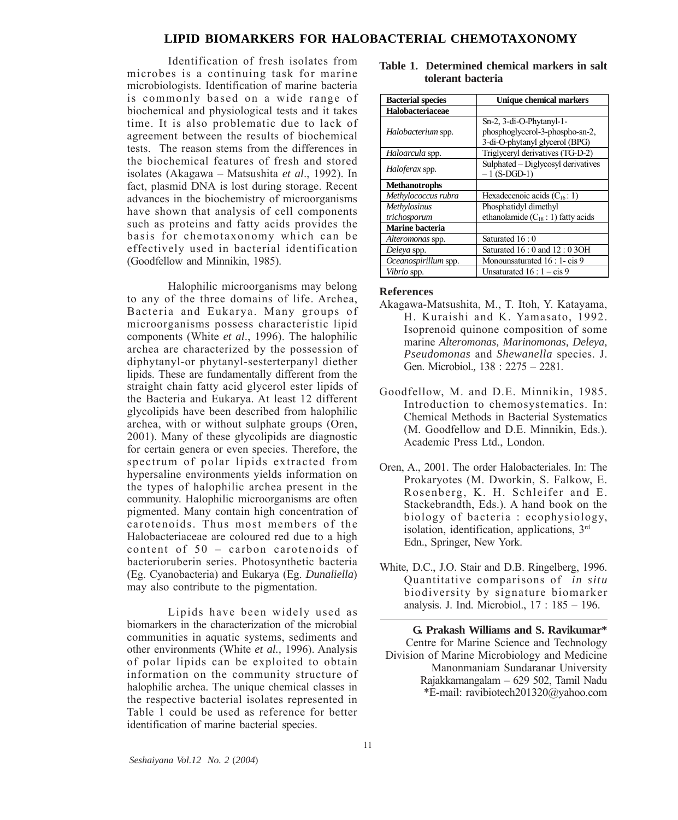#### **LIPID BIOMARKERS FOR HALOBACTERIAL CHEMOTAXONOMY**

Identification of fresh isolates from microbes is a continuing task for marine microbiologists. Identification of marine bacteria is commonly based on a wide range of biochemical and physiological tests and it takes time. It is also problematic due to lack of agreement between the results of biochemical tests. The reason stems from the differences in the biochemical features of fresh and stored isolates (Akagawa – Matsushita *et al*., 1992). In fact, plasmid DNA is lost during storage. Recent advances in the biochemistry of microorganisms have shown that analysis of cell components such as proteins and fatty acids provides the basis for chemotaxonomy which can be effectively used in bacterial identification (Goodfellow and Minnikin, 1985).

Halophilic microorganisms may belong to any of the three domains of life. Archea, Bacteria and Eukarya. Many groups of microorganisms possess characteristic lipid components (White *et al*., 1996). The halophilic archea are characterized by the possession of diphytanyl-or phytanyl-sesterterpanyl diether lipids. These are fundamentally different from the straight chain fatty acid glycerol ester lipids of the Bacteria and Eukarya. At least 12 different glycolipids have been described from halophilic archea, with or without sulphate groups (Oren, 2001). Many of these glycolipids are diagnostic for certain genera or even species. Therefore, the spectrum of polar lipids extracted from hypersaline environments yields information on the types of halophilic archea present in the community. Halophilic microorganisms are often pigmented. Many contain high concentration of carotenoids. Thus most members of the Halobacteriaceae are coloured red due to a high content of 50 – carbon carotenoids of bacterioruberin series. Photosynthetic bacteria (Eg. Cyanobacteria) and Eukarya (Eg. *Dunaliella*) may also contribute to the pigmentation.

Lipids have been widely used as biomarkers in the characterization of the microbial communities in aquatic systems, sediments and other environments (White *et al.,* 1996). Analysis of polar lipids can be exploited to obtain information on the community structure of halophilic archea. The unique chemical classes in the respective bacterial isolates represented in Table 1 could be used as reference for better identification of marine bacterial species.

| <b>Bacterial species</b> | Unique chemical markers                                                                       |
|--------------------------|-----------------------------------------------------------------------------------------------|
| Halobacteriaceae         |                                                                                               |
| Halobacterium spp.       | Sn-2, 3-di-O-Phytanyl-1-<br>phosphoglycerol-3-phospho-sn-2,<br>3-di-O-phytanyl glycerol (BPG) |
| Haloarcula spp.          | Triglyceryl derivatives (TG-D-2)                                                              |
| Haloferax spp.           | Sulphated – Diglycosyl derivatives<br>$-1$ (S-DGD-1)                                          |
| <b>Methanotrophs</b>     |                                                                                               |
| Methylococcus rubra      | Hexadecenoic acids $(C_{16}: 1)$                                                              |
| <b>Methylosinus</b>      | Phosphatidyl dimethyl                                                                         |
| trichosporum             | ethanolamide $(C_{18}: 1)$ fatty acids                                                        |
| <b>Marine bacteria</b>   |                                                                                               |
| Alteromonas spp.         | Saturated 16:0                                                                                |
| Deleya spp.              | Saturated 16:0 and 12:0 3OH                                                                   |
| Oceanospirillum spp.     | Monounsaturated 16 : 1- cis 9                                                                 |
| Vibrio spp.              | Unsaturated $16:1 - cis 9$                                                                    |

#### **Table 1. Determined chemical markers in salt tolerant bacteria**

#### **References**

- Akagawa-Matsushita, M., T. Itoh, Y. Katayama, H. Kuraishi and K. Yamasato, 1992. Isoprenoid quinone composition of some marine *Alteromonas, Marinomonas, Deleya, Pseudomonas* and *Shewanella* species. J. Gen. Microbiol.*,* 138 : 2275 – 2281.
- Goodfellow, M. and D.E. Minnikin, 1985. Introduction to chemosystematics. In: Chemical Methods in Bacterial Systematics (M. Goodfellow and D.E. Minnikin, Eds.). Academic Press Ltd., London.
- Oren, A., 2001. The order Halobacteriales. In: The Prokaryotes (M. Dworkin, S. Falkow, E. Rosenberg, K. H. Schleifer and E. Stackebrandth, Eds.). A hand book on the biology of bacteria : ecophysiology, isolation, identification, applications, 3rd Edn., Springer, New York.
- White, D.C., J.O. Stair and D.B. Ringelberg, 1996. Quantitative comparisons of *in situ* biodiversity by signature biomarker analysis. J. Ind. Microbiol., 17 : 185 – 196.

**G. Prakash Williams and S. Ravikumar\*** Centre for Marine Science and Technology Division of Marine Microbiology and Medicine Manonmaniam Sundaranar University Rajakkamangalam – 629 502, Tamil Nadu \*E-mail: ravibiotech201320@yahoo.com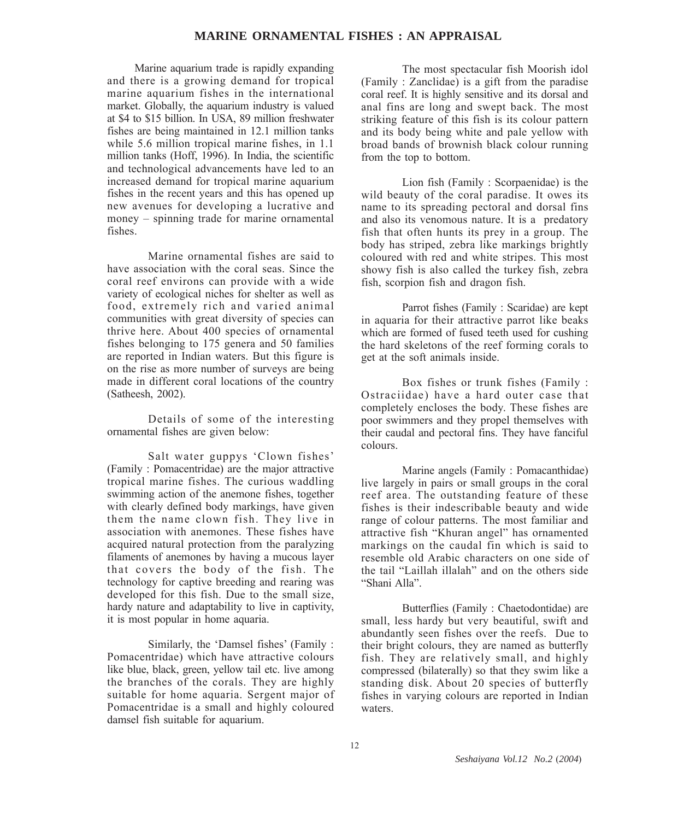# **MARINE ORNAMENTAL FISHES : AN APPRAISAL**

Marine aquarium trade is rapidly expanding and there is a growing demand for tropical marine aquarium fishes in the international market. Globally, the aquarium industry is valued at \$4 to \$15 billion. In USA, 89 million freshwater fishes are being maintained in 12.1 million tanks while 5.6 million tropical marine fishes, in 1.1 million tanks (Hoff, 1996). In India, the scientific and technological advancements have led to an increased demand for tropical marine aquarium fishes in the recent years and this has opened up new avenues for developing a lucrative and money – spinning trade for marine ornamental fishes.

Marine ornamental fishes are said to have association with the coral seas. Since the coral reef environs can provide with a wide variety of ecological niches for shelter as well as food, extremely rich and varied animal communities with great diversity of species can thrive here. About 400 species of ornamental fishes belonging to 175 genera and 50 families are reported in Indian waters. But this figure is on the rise as more number of surveys are being made in different coral locations of the country (Satheesh, 2002).

Details of some of the interesting ornamental fishes are given below:

Salt water guppys 'Clown fishes' (Family : Pomacentridae) are the major attractive tropical marine fishes. The curious waddling swimming action of the anemone fishes, together with clearly defined body markings, have given them the name clown fish. They live in association with anemones. These fishes have acquired natural protection from the paralyzing filaments of anemones by having a mucous layer that covers the body of the fish. The technology for captive breeding and rearing was developed for this fish. Due to the small size, hardy nature and adaptability to live in captivity, it is most popular in home aquaria.

Similarly, the 'Damsel fishes' (Family : Pomacentridae) which have attractive colours like blue, black, green, yellow tail etc. live among the branches of the corals. They are highly suitable for home aquaria. Sergent major of Pomacentridae is a small and highly coloured damsel fish suitable for aquarium.

The most spectacular fish Moorish idol (Family : Zanclidae) is a gift from the paradise coral reef. It is highly sensitive and its dorsal and anal fins are long and swept back. The most striking feature of this fish is its colour pattern and its body being white and pale yellow with broad bands of brownish black colour running from the top to bottom.

Lion fish (Family : Scorpaenidae) is the wild beauty of the coral paradise. It owes its name to its spreading pectoral and dorsal fins and also its venomous nature. It is a predatory fish that often hunts its prey in a group. The body has striped, zebra like markings brightly coloured with red and white stripes. This most showy fish is also called the turkey fish, zebra fish, scorpion fish and dragon fish.

Parrot fishes (Family : Scaridae) are kept in aquaria for their attractive parrot like beaks which are formed of fused teeth used for cushing the hard skeletons of the reef forming corals to get at the soft animals inside.

Box fishes or trunk fishes (Family : Ostraciidae) have a hard outer case that completely encloses the body. These fishes are poor swimmers and they propel themselves with their caudal and pectoral fins. They have fanciful colours.

Marine angels (Family : Pomacanthidae) live largely in pairs or small groups in the coral reef area. The outstanding feature of these fishes is their indescribable beauty and wide range of colour patterns. The most familiar and attractive fish "Khuran angel" has ornamented markings on the caudal fin which is said to resemble old Arabic characters on one side of the tail "Laillah illalah" and on the others side "Shani Alla".

Butterflies (Family : Chaetodontidae) are small, less hardy but very beautiful, swift and abundantly seen fishes over the reefs. Due to their bright colours, they are named as butterfly fish. They are relatively small, and highly compressed (bilaterally) so that they swim like a standing disk. About 20 species of butterfly fishes in varying colours are reported in Indian waters.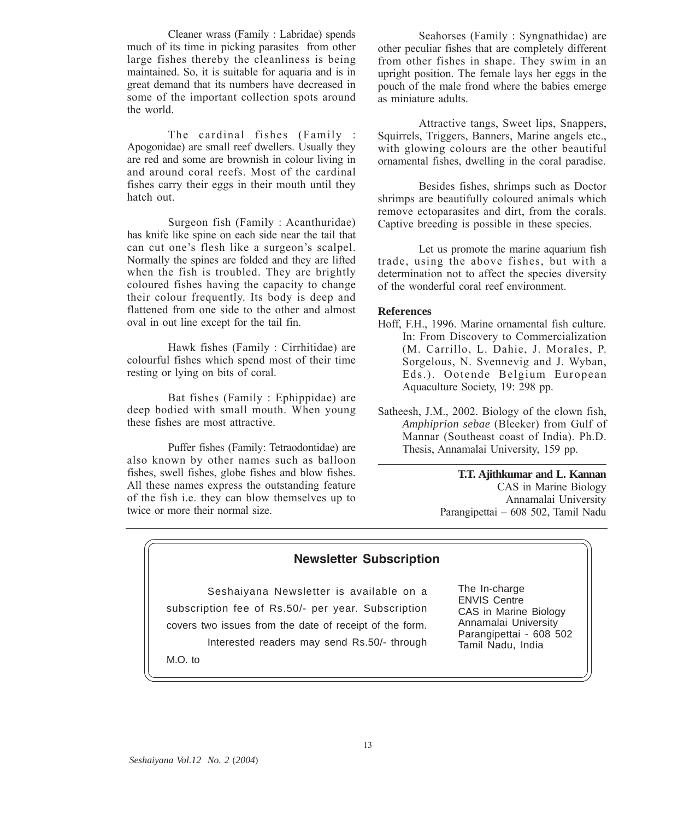Cleaner wrass (Family : Labridae) spends much of its time in picking parasites from other large fishes thereby the cleanliness is being maintained. So, it is suitable for aquaria and is in great demand that its numbers have decreased in some of the important collection spots around the world.

The cardinal fishes (Family : Apogonidae) are small reef dwellers. Usually they are red and some are brownish in colour living in and around coral reefs. Most of the cardinal fishes carry their eggs in their mouth until they hatch out.

Surgeon fish (Family : Acanthuridae) has knife like spine on each side near the tail that can cut one's flesh like a surgeon's scalpel. Normally the spines are folded and they are lifted when the fish is troubled. They are brightly coloured fishes having the capacity to change their colour frequently. Its body is deep and flattened from one side to the other and almost oval in out line except for the tail fin.

Hawk fishes (Family : Cirrhitidae) are colourful fishes which spend most of their time resting or lying on bits of coral.

Bat fishes (Family : Ephippidae) are deep bodied with small mouth. When young these fishes are most attractive.

Puffer fishes (Family: Tetraodontidae) are also known by other names such as balloon fishes, swell fishes, globe fishes and blow fishes. All these names express the outstanding feature of the fish i.e. they can blow themselves up to twice or more their normal size.

Seahorses (Family : Syngnathidae) are other peculiar fishes that are completely different from other fishes in shape. They swim in an upright position. The female lays her eggs in the pouch of the male frond where the babies emerge as miniature adults.

Attractive tangs, Sweet lips, Snappers, Squirrels, Triggers, Banners, Marine angels etc., with glowing colours are the other beautiful ornamental fishes, dwelling in the coral paradise.

Besides fishes, shrimps such as Doctor shrimps are beautifully coloured animals which remove ectoparasites and dirt, from the corals. Captive breeding is possible in these species.

Let us promote the marine aquarium fish trade, using the above fishes, but with a determination not to affect the species diversity of the wonderful coral reef environment.

#### **References**

- Hoff, F.H., 1996. Marine ornamental fish culture. In: From Discovery to Commercialization (M. Carrillo, L. Dahie, J. Morales, P. Sorgelous, N. Svennevig and J. Wyban, Eds.). Ootende Belgium European Aquaculture Society, 19: 298 pp.
- Satheesh, J.M., 2002. Biology of the clown fish, *Amphiprion sebae* (Bleeker) from Gulf of Mannar (Southeast coast of India). Ph.D. Thesis, Annamalai University, 159 pp.

**T.T. Ajithkumar and L. Kannan** CAS in Marine Biology Annamalai University Parangipettai – 608 502, Tamil Nadu

# **Newsletter Subscription**

Seshaiyana Newsletter is available on a subscription fee of Rs.50/- per year. Subscription covers two issues from the date of receipt of the form. Interested readers may send Rs.50/- through M.O. to

The In-charge ENVIS Centre CAS in Marine Biology Annamalai University Parangipettai - 608 502 Tamil Nadu, India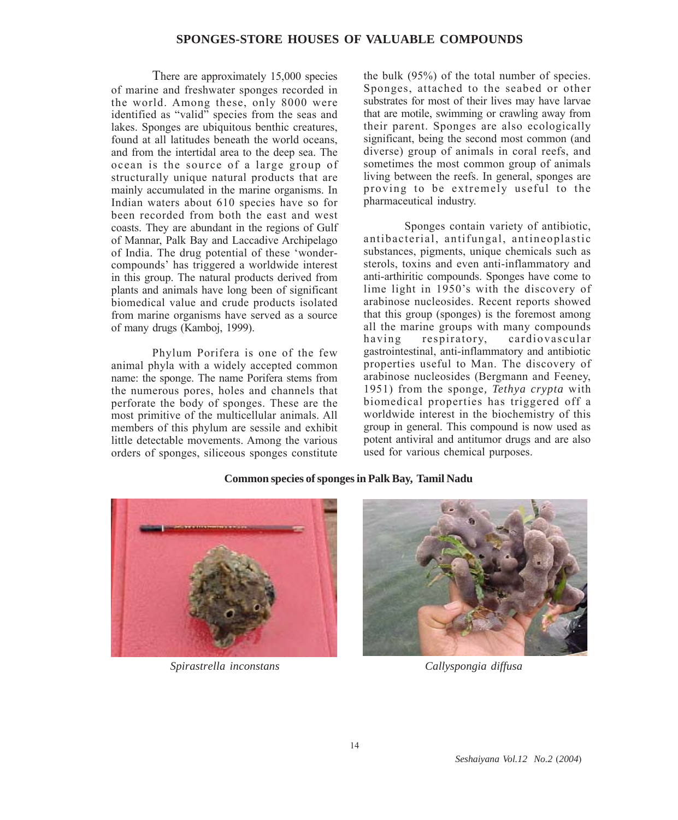# **SPONGES-STORE HOUSES OF VALUABLE COMPOUNDS**

There are approximately 15,000 species of marine and freshwater sponges recorded in the world. Among these, only 8000 were identified as "valid" species from the seas and lakes. Sponges are ubiquitous benthic creatures, found at all latitudes beneath the world oceans, and from the intertidal area to the deep sea. The ocean is the source of a large group of structurally unique natural products that are mainly accumulated in the marine organisms. In Indian waters about 610 species have so for been recorded from both the east and west coasts. They are abundant in the regions of Gulf of Mannar, Palk Bay and Laccadive Archipelago of India. The drug potential of these 'wondercompounds' has triggered a worldwide interest in this group. The natural products derived from plants and animals have long been of significant biomedical value and crude products isolated from marine organisms have served as a source of many drugs (Kamboj, 1999).

Phylum Porifera is one of the few animal phyla with a widely accepted common name: the sponge. The name Porifera stems from the numerous pores, holes and channels that perforate the body of sponges. These are the most primitive of the multicellular animals. All members of this phylum are sessile and exhibit little detectable movements. Among the various orders of sponges, siliceous sponges constitute

the bulk (95%) of the total number of species. Sponges, attached to the seabed or other substrates for most of their lives may have larvae that are motile, swimming or crawling away from their parent. Sponges are also ecologically significant, being the second most common (and diverse) group of animals in coral reefs, and sometimes the most common group of animals living between the reefs. In general, sponges are proving to be extremely useful to the pharmaceutical industry.

Sponges contain variety of antibiotic, antibacterial, antifungal, antineoplastic substances, pigments, unique chemicals such as sterols, toxins and even anti-inflammatory and anti-arthiritic compounds. Sponges have come to lime light in 1950's with the discovery of arabinose nucleosides. Recent reports showed that this group (sponges) is the foremost among all the marine groups with many compounds having respiratory, cardiovascular gastrointestinal, anti-inflammatory and antibiotic properties useful to Man. The discovery of arabinose nucleosides (Bergmann and Feeney, 1951) from the sponge*, Tethya crypta* with biomedical properties has triggered off a worldwide interest in the biochemistry of this group in general. This compound is now used as potent antiviral and antitumor drugs and are also used for various chemical purposes.



*Spirastrella inconstans Callyspongia diffusa*

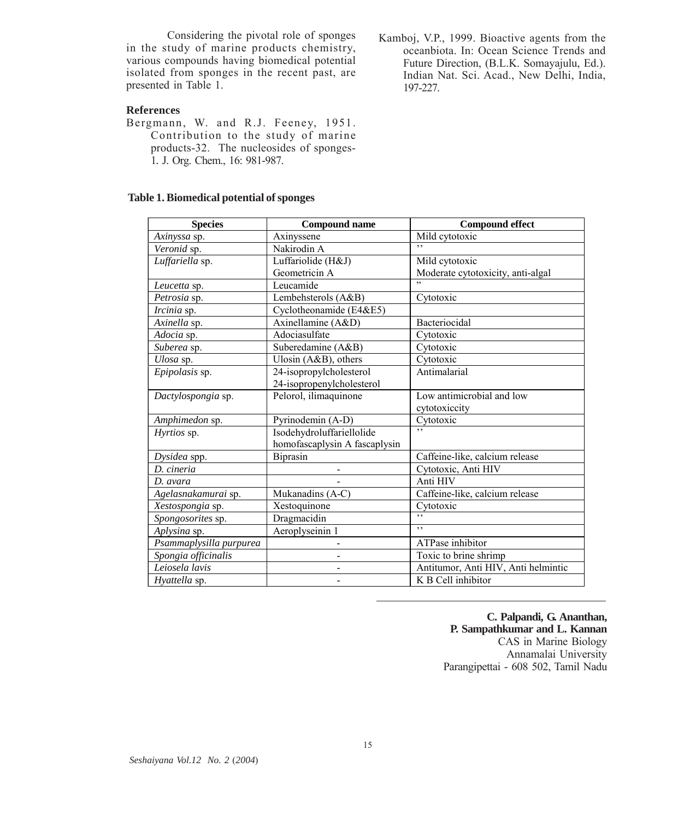Considering the pivotal role of sponges in the study of marine products chemistry, various compounds having biomedical potential isolated from sponges in the recent past, are presented in Table 1.

# **References**

Bergmann, W. and R.J. Feeney, 1951. Contribution to the study of marine products-32. The nucleosides of sponges-1*.* J. Org. Chem., 16: 981-987.

# **Table 1. Biomedical potential of sponges**

Kamboj, V.P., 1999. Bioactive agents from the oceanbiota. In: Ocean Science Trends and Future Direction, (B.L.K. Somayajulu, Ed.). Indian Nat. Sci. Acad., New Delhi, India, 197-227.

| <b>Species</b>          | <b>Compound name</b>                    | <b>Compound effect</b>              |
|-------------------------|-----------------------------------------|-------------------------------------|
| Axinyssa sp.            | Axinyssene                              | Mild cytotoxic<br>, ,               |
| Veronid sp.             | Nakirodin A                             |                                     |
| Luffariella sp.         | Luffariolide (H&J)                      | Mild cytotoxic                      |
|                         | Geometricin A                           | Moderate cytotoxicity, anti-algal   |
| Leucetta sp.            | Leucamide                               | ,                                   |
| Petrosia sp.            | Lembehsterols (A&B)                     | Cytotoxic                           |
| Ircinia sp.             | Cyclotheonamide ( $E\overline{4\&E5}$ ) |                                     |
| Axinella sp.            | Axinellamine (A&D)                      | Bacteriocidal                       |
| Adocia sp.              | Adociasulfate                           | Cytotoxic                           |
| Suberea sp.             | Suberedamine (A&B)                      | Cytotoxic                           |
| Ulosa sp.               | Ulosin (A&B), others                    | Cytotoxic                           |
| Epipolasis sp.          | 24-isopropylcholesterol                 | Antimalarial                        |
|                         | 24-isopropenylcholesterol               |                                     |
| Dactylospongia sp.      | Pelorol, ilimaquinone                   | Low antimicrobial and low           |
|                         |                                         | cytotoxiccity                       |
| Amphimedon sp.          | Pyrinodemin (A-D)                       | Cytotoxic                           |
| Hyrtios sp.             | Isodehydroluffariellolide               | $, \,$                              |
|                         | homofascaplysin A fascaplysin           |                                     |
| Dysidea spp.            | <b>Biprasin</b>                         | Caffeine-like, calcium release      |
| D. cineria              |                                         | Cytotoxic, Anti HIV                 |
| D. avara                |                                         | Anti HIV                            |
| Agelasnakamurai sp.     | Mukanadins (A-C)                        | Caffeine-like, calcium release      |
| Xestospongia sp.        | Xestoquinone                            | Cytotoxic                           |
| Spongosorites sp.       | Dragmacidin                             | $,$ ,                               |
| Aplysina sp.            | Aeroplyseinin 1                         | $,$ ,                               |
| Psammaplysilla purpurea | -                                       | ATPase inhibitor                    |
| Spongia officinalis     | L                                       | Toxic to brine shrimp               |
| Leiosela lavis          |                                         | Antitumor, Anti HIV, Anti helmintic |
| Hyattella sp.           |                                         | K B Cell inhibitor                  |

**C. Palpandi, G. Ananthan, P. Sampathkumar and L. Kannan** CAS in Marine Biology Annamalai University Parangipettai - 608 502, Tamil Nadu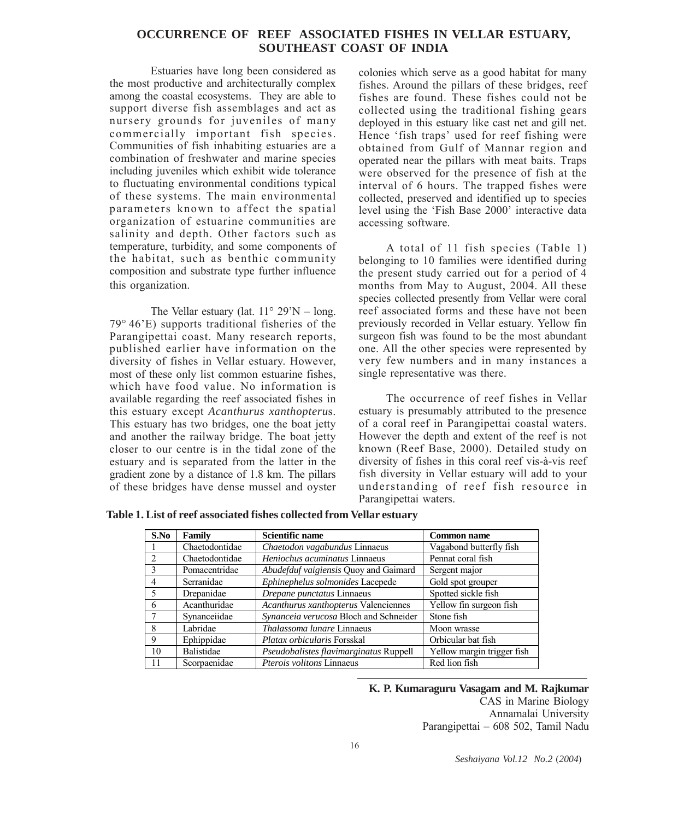# **OCCURRENCE OF REEF ASSOCIATED FISHES IN VELLAR ESTUARY, SOUTHEAST COAST OF INDIA**

Estuaries have long been considered as the most productive and architecturally complex among the coastal ecosystems. They are able to support diverse fish assemblages and act as nursery grounds for juveniles of many commercially important fish species. Communities of fish inhabiting estuaries are a combination of freshwater and marine species including juveniles which exhibit wide tolerance to fluctuating environmental conditions typical of these systems. The main environmental parameters known to affect the spatial organization of estuarine communities are salinity and depth. Other factors such as temperature, turbidity, and some components of the habitat, such as benthic community composition and substrate type further influence this organization.

The Vellar estuary (lat.  $11^{\circ}$  29'N – long. 79° 46'E) supports traditional fisheries of the Parangipettai coast. Many research reports, published earlier have information on the diversity of fishes in Vellar estuary. However, most of these only list common estuarine fishes, which have food value. No information is available regarding the reef associated fishes in this estuary except *Acanthurus xanthopteru*s. This estuary has two bridges, one the boat jetty and another the railway bridge. The boat jetty closer to our centre is in the tidal zone of the estuary and is separated from the latter in the gradient zone by a distance of 1.8 km. The pillars of these bridges have dense mussel and oyster

colonies which serve as a good habitat for many fishes. Around the pillars of these bridges, reef fishes are found. These fishes could not be collected using the traditional fishing gears deployed in this estuary like cast net and gill net. Hence 'fish traps' used for reef fishing were obtained from Gulf of Mannar region and operated near the pillars with meat baits. Traps were observed for the presence of fish at the interval of 6 hours. The trapped fishes were collected, preserved and identified up to species level using the 'Fish Base 2000' interactive data accessing software.

A total of 11 fish species (Table 1) belonging to 10 families were identified during the present study carried out for a period of 4 months from May to August, 2004. All these species collected presently from Vellar were coral reef associated forms and these have not been previously recorded in Vellar estuary. Yellow fin surgeon fish was found to be the most abundant one. All the other species were represented by very few numbers and in many instances a single representative was there.

The occurrence of reef fishes in Vellar estuary is presumably attributed to the presence of a coral reef in Parangipettai coastal waters. However the depth and extent of the reef is not known (Reef Base, 2000). Detailed study on diversity of fishes in this coral reef vis-à-vis reef fish diversity in Vellar estuary will add to your understanding of reef fish resource in Parangipettai waters.

**Table 1. List of reef associated fishes collected from Vellar estuary**

| S.No   | Family         | <b>Scientific name</b>                 | <b>Common name</b>         |
|--------|----------------|----------------------------------------|----------------------------|
|        | Chaetodontidae | Chaetodon vagabundus Linnaeus          | Vagabond butterfly fish    |
|        | Chaetodontidae | Heniochus acuminatus Linnaeus          | Pennat coral fish          |
|        | Pomacentridae  | Abudefduf vaigiensis Quoy and Gaimard  | Sergent major              |
| 4      | Serranidae     | Ephinephelus solmonides Lacepede       | Gold spot grouper          |
| $\sim$ | Drepanidae     | Drepane punctatus Linnaeus             | Spotted sickle fish        |
| 6      | Acanthuridae   | Acanthurus xanthopterus Valenciennes   | Yellow fin surgeon fish    |
|        | Synanceiidae   | Synanceia verucosa Bloch and Schneider | Stone fish                 |
|        | Labridae       | Thalassoma lunare Linnaeus             | Moon wrasse                |
| 9      | Ephippidae     | Platax orbicularis Forsskal            | Orbicular bat fish         |
| 10     | Balistidae     | Pseudobalistes flavimarginatus Ruppell | Yellow margin trigger fish |
| 11     | Scorpaenidae   | Pterois volitons Linnaeus              | Red lion fish              |

**K. P. Kumaraguru Vasagam and M. Rajkumar** CAS in Marine Biology Annamalai University

Parangipettai – 608 502, Tamil Nadu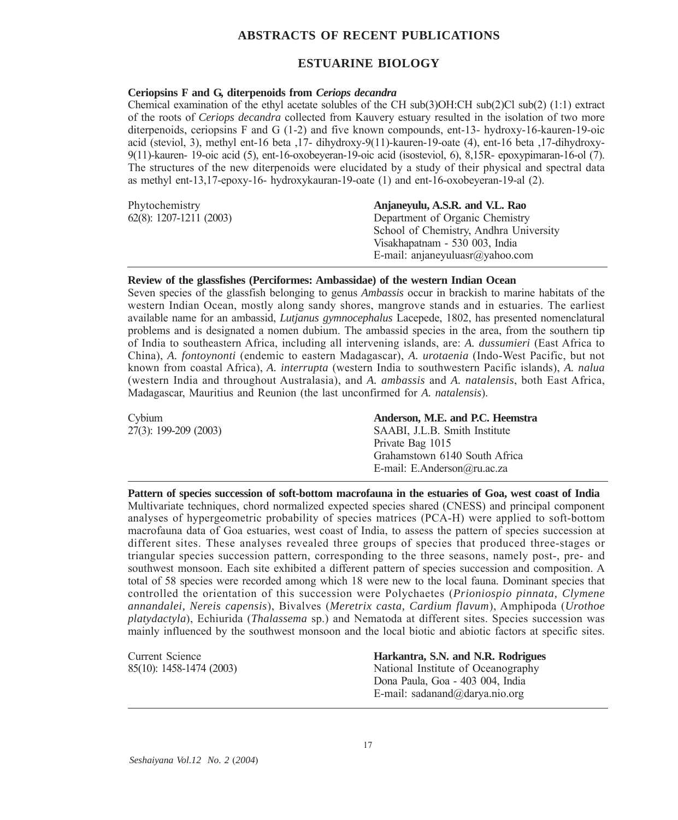# **ABSTRACTS OF RECENT PUBLICATIONS**

# **ESTUARINE BIOLOGY**

# **Ceriopsins F and G, diterpenoids from** *Ceriops decandra*

Chemical examination of the ethyl acetate solubles of the CH sub(3)OH:CH sub(2)Cl sub(2) (1:1) extract of the roots of *Ceriops decandra* collected from Kauvery estuary resulted in the isolation of two more diterpenoids, ceriopsins F and G (1-2) and five known compounds, ent-13- hydroxy-16-kauren-19-oic acid (steviol, 3), methyl ent-16 beta ,17- dihydroxy-9(11)-kauren-19-oate (4), ent-16 beta ,17-dihydroxy-9(11)-kauren- 19-oic acid (5), ent-16-oxobeyeran-19-oic acid (isosteviol, 6), 8,15R- epoxypimaran-16-ol (7). The structures of the new diterpenoids were elucidated by a study of their physical and spectral data as methyl ent-13,17-epoxy-16- hydroxykauran-19-oate (1) and ent-16-oxobeyeran-19-al (2).

| Phytochemistry             | Anjanevulu, A.S.R. and V.L. Rao        |
|----------------------------|----------------------------------------|
| $62(8)$ : 1207-1211 (2003) | Department of Organic Chemistry        |
|                            | School of Chemistry, Andhra University |
|                            | Visakhapatnam - 530 003, India         |
|                            | E-mail: anjaneyuluasr@yahoo.com        |
|                            |                                        |

#### **Review of the glassfishes (Perciformes: Ambassidae) of the western Indian Ocean**

Seven species of the glassfish belonging to genus *Ambassis* occur in brackish to marine habitats of the western Indian Ocean, mostly along sandy shores, mangrove stands and in estuaries. The earliest available name for an ambassid, *Lutjanus gymnocephalus* Lacepede, 1802, has presented nomenclatural problems and is designated a nomen dubium. The ambassid species in the area, from the southern tip of India to southeastern Africa, including all intervening islands, are: *A. dussumieri* (East Africa to China), *A. fontoynonti* (endemic to eastern Madagascar), *A. urotaenia* (Indo-West Pacific, but not known from coastal Africa), *A. interrupta* (western India to southwestern Pacific islands), *A. nalua* (western India and throughout Australasia), and *A. ambassis* and *A. natalensis*, both East Africa, Madagascar, Mauritius and Reunion (the last unconfirmed for *A. natalensis*).

| Cybium                | Anderson, M.E. and P.C. Heemstra |
|-----------------------|----------------------------------|
| 27(3): 199-209 (2003) | SAABI, J.L.B. Smith Institute    |
|                       | Private Bag 1015                 |
|                       | Grahamstown 6140 South Africa    |
|                       | E-mail: E.Anderson@ru.ac.za      |

**Pattern of species succession of soft-bottom macrofauna in the estuaries of Goa, west coast of India** Multivariate techniques, chord normalized expected species shared (CNESS) and principal component analyses of hypergeometric probability of species matrices (PCA-H) were applied to soft-bottom macrofauna data of Goa estuaries, west coast of India, to assess the pattern of species succession at different sites. These analyses revealed three groups of species that produced three-stages or triangular species succession pattern, corresponding to the three seasons, namely post-, pre- and southwest monsoon. Each site exhibited a different pattern of species succession and composition. A total of 58 species were recorded among which 18 were new to the local fauna. Dominant species that controlled the orientation of this succession were Polychaetes (*Prioniospio pinnata, Clymene annandalei, Nereis capensis*), Bivalves (*Meretrix casta, Cardium flavum*), Amphipoda (*Urothoe platydactyla*), Echiurida (*Thalassema* sp.) and Nematoda at different sites. Species succession was mainly influenced by the southwest monsoon and the local biotic and abiotic factors at specific sites.

| Current Science          | Harkantra, S.N. and N.R. Rodrigues |
|--------------------------|------------------------------------|
| 85(10): 1458-1474 (2003) | National Institute of Oceanography |
|                          | Dona Paula, Goa - 403 004, India   |
|                          | E-mail: sadanand@darya.nio.org     |
|                          |                                    |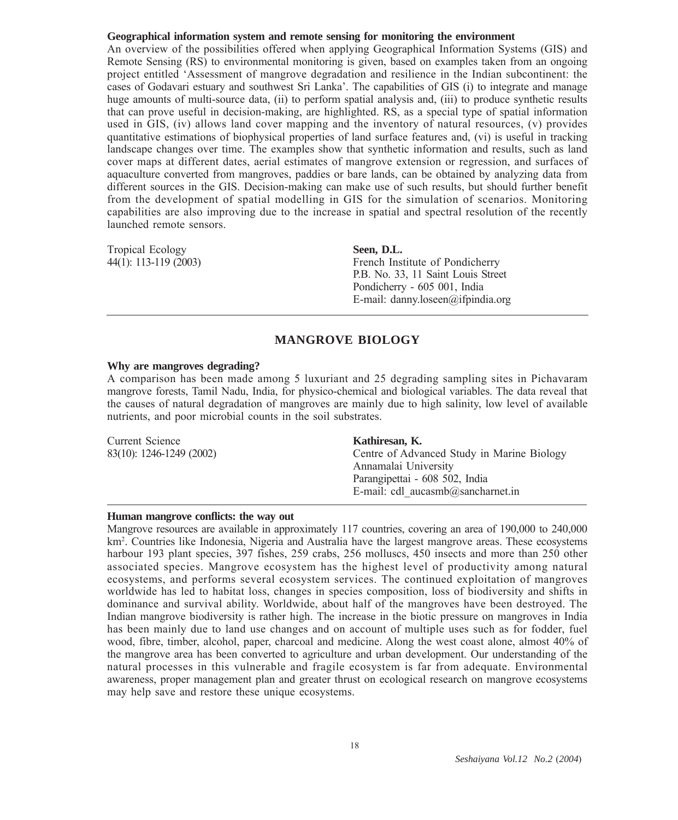# **Geographical information system and remote sensing for monitoring the environment**

An overview of the possibilities offered when applying Geographical Information Systems (GIS) and Remote Sensing (RS) to environmental monitoring is given, based on examples taken from an ongoing project entitled 'Assessment of mangrove degradation and resilience in the Indian subcontinent: the cases of Godavari estuary and southwest Sri Lanka'. The capabilities of GIS (i) to integrate and manage huge amounts of multi-source data, (ii) to perform spatial analysis and, (iii) to produce synthetic results that can prove useful in decision-making, are highlighted. RS, as a special type of spatial information used in GIS, (iv) allows land cover mapping and the inventory of natural resources, (v) provides quantitative estimations of biophysical properties of land surface features and, (vi) is useful in tracking landscape changes over time. The examples show that synthetic information and results, such as land cover maps at different dates, aerial estimates of mangrove extension or regression, and surfaces of aquaculture converted from mangroves, paddies or bare lands, can be obtained by analyzing data from different sources in the GIS. Decision-making can make use of such results, but should further benefit from the development of spatial modelling in GIS for the simulation of scenarios. Monitoring capabilities are also improving due to the increase in spatial and spectral resolution of the recently launched remote sensors.

Tropical Ecology **Seen, D.L.**

44(1): 113-119 (2003) French Institute of Pondicherry P.B. No. 33, 11 Saint Louis Street Pondicherry - 605 001, India E-mail: danny.loseen@ifpindia.org

# **MANGROVE BIOLOGY**

#### **Why are mangroves degrading?**

A comparison has been made among 5 luxuriant and 25 degrading sampling sites in Pichavaram mangrove forests, Tamil Nadu, India, for physico-chemical and biological variables. The data reveal that the causes of natural degradation of mangroves are mainly due to high salinity, low level of available nutrients, and poor microbial counts in the soil substrates.

| Current Science          | Kathiresan, K.                             |
|--------------------------|--------------------------------------------|
| 83(10): 1246-1249 (2002) | Centre of Advanced Study in Marine Biology |
|                          | Annamalai University                       |
|                          | Parangipettai - 608 502, India             |
|                          | E-mail: cdl $aucasmb@sancharnet.in$        |

#### **Human mangrove conflicts: the way out**

Mangrove resources are available in approximately 117 countries, covering an area of 190,000 to 240,000 km2 . Countries like Indonesia, Nigeria and Australia have the largest mangrove areas. These ecosystems harbour 193 plant species, 397 fishes, 259 crabs, 256 molluscs, 450 insects and more than 250 other associated species. Mangrove ecosystem has the highest level of productivity among natural ecosystems, and performs several ecosystem services. The continued exploitation of mangroves worldwide has led to habitat loss, changes in species composition, loss of biodiversity and shifts in dominance and survival ability. Worldwide, about half of the mangroves have been destroyed. The Indian mangrove biodiversity is rather high. The increase in the biotic pressure on mangroves in India has been mainly due to land use changes and on account of multiple uses such as for fodder, fuel wood, fibre, timber, alcohol, paper, charcoal and medicine. Along the west coast alone, almost 40% of the mangrove area has been converted to agriculture and urban development. Our understanding of the natural processes in this vulnerable and fragile ecosystem is far from adequate. Environmental awareness, proper management plan and greater thrust on ecological research on mangrove ecosystems may help save and restore these unique ecosystems.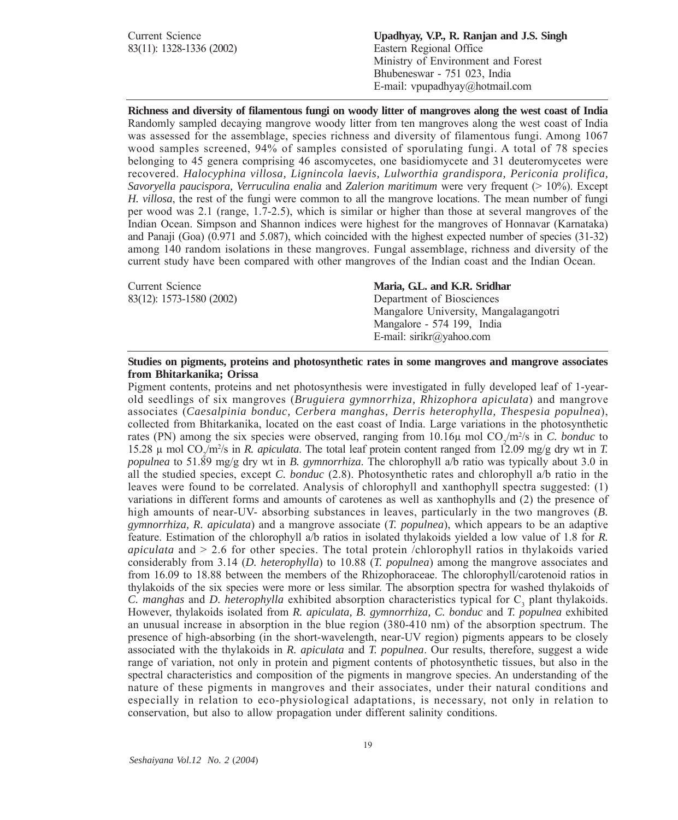Current Science **Upadhyay, V.P., R. Ranjan and J.S. Singh** 83(11): 1328-1336 (2002) Eastern Regional Office Ministry of Environment and Forest Bhubeneswar - 751 023, India E-mail: vpupadhyay@hotmail.com

**Richness and diversity of filamentous fungi on woody litter of mangroves along the west coast of India** Randomly sampled decaying mangrove woody litter from ten mangroves along the west coast of India was assessed for the assemblage, species richness and diversity of filamentous fungi. Among 1067 wood samples screened, 94% of samples consisted of sporulating fungi. A total of 78 species belonging to 45 genera comprising 46 ascomycetes, one basidiomycete and 31 deuteromycetes were recovered. *Halocyphina villosa, Lignincola laevis, Lulworthia grandispora, Periconia prolifica, Savoryella paucispora, Verruculina enalia* and *Zalerion maritimum* were very frequent (> 10%). Except *H. villosa*, the rest of the fungi were common to all the mangrove locations. The mean number of fungi per wood was 2.1 (range, 1.7-2.5), which is similar or higher than those at several mangroves of the Indian Ocean. Simpson and Shannon indices were highest for the mangroves of Honnavar (Karnataka) and Panaji (Goa) (0.971 and 5.087), which coincided with the highest expected number of species (31-32) among 140 random isolations in these mangroves. Fungal assemblage, richness and diversity of the current study have been compared with other mangroves of the Indian coast and the Indian Ocean.

83(12): 1573-1580 (2002) Department of Biosciences

#### Current Science **Maria, G.L. and K.R. Sridhar**

Mangalore University, Mangalagangotri Mangalore - 574 199, India E-mail: sirikr@yahoo.com

#### **Studies on pigments, proteins and photosynthetic rates in some mangroves and mangrove associates from Bhitarkanika; Orissa**

Pigment contents, proteins and net photosynthesis were investigated in fully developed leaf of 1-yearold seedlings of six mangroves (*Bruguiera gymnorrhiza, Rhizophora apiculata*) and mangrove associates (*Caesalpinia bonduc, Cerbera manghas, Derris heterophylla, Thespesia populnea*), collected from Bhitarkanika, located on the east coast of India. Large variations in the photosynthetic rates (PN) among the six species were observed, ranging from  $10.16\mu$  mol  $CO_2/m^2/s$  in *C. bonduc* to 15.28 μ mol CO<sub>2</sub>/m<sup>2</sup>/s in *R. apiculata*. The total leaf protein content ranged from 12.09 mg/g dry wt in *T. populnea* to 51.89 mg/g dry wt in *B. gymnorrhiza*. The chlorophyll a/b ratio was typically about 3.0 in all the studied species, except *C. bonduc* (2.8). Photosynthetic rates and chlorophyll a/b ratio in the leaves were found to be correlated. Analysis of chlorophyll and xanthophyll spectra suggested: (1) variations in different forms and amounts of carotenes as well as xanthophylls and (2) the presence of high amounts of near-UV- absorbing substances in leaves, particularly in the two mangroves (*B. gymnorrhiza, R. apiculata*) and a mangrove associate (*T. populnea*), which appears to be an adaptive feature. Estimation of the chlorophyll a/b ratios in isolated thylakoids yielded a low value of 1.8 for *R. apiculata* and > 2.6 for other species. The total protein /chlorophyll ratios in thylakoids varied considerably from 3.14 (*D. heterophylla*) to 10.88 (*T. populnea*) among the mangrove associates and from 16.09 to 18.88 between the members of the Rhizophoraceae. The chlorophyll/carotenoid ratios in thylakoids of the six species were more or less similar. The absorption spectra for washed thylakoids of *C. manghas* and *D. heterophylla* exhibited absorption characteristics typical for C<sub>3</sub> plant thylakoids. However, thylakoids isolated from *R. apiculata, B. gymnorrhiza, C. bonduc* and *T. populnea* exhibited an unusual increase in absorption in the blue region (380-410 nm) of the absorption spectrum. The presence of high-absorbing (in the short-wavelength, near-UV region) pigments appears to be closely associated with the thylakoids in *R. apiculata* and *T. populnea*. Our results, therefore, suggest a wide range of variation, not only in protein and pigment contents of photosynthetic tissues, but also in the spectral characteristics and composition of the pigments in mangrove species. An understanding of the nature of these pigments in mangroves and their associates, under their natural conditions and especially in relation to eco-physiological adaptations, is necessary, not only in relation to conservation, but also to allow propagation under different salinity conditions.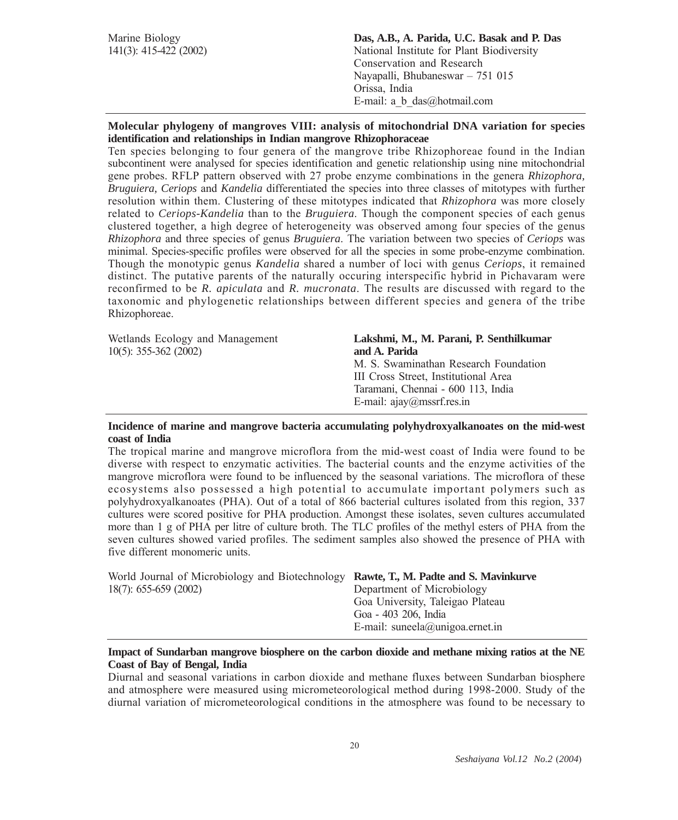| Marine Biology<br>$141(3)$ : 415-422 (2002) | Das, A.B., A. Parida, U.C. Basak and P. Das<br>National Institute for Plant Biodiversity<br>Conservation and Research<br>Nayapalli, Bhubaneswar - 751 015<br>Orissa, India |
|---------------------------------------------|----------------------------------------------------------------------------------------------------------------------------------------------------------------------------|
|                                             | E-mail: a b $das@hotmail.com$                                                                                                                                              |
|                                             |                                                                                                                                                                            |

# **Molecular phylogeny of mangroves VIII: analysis of mitochondrial DNA variation for species identification and relationships in Indian mangrove Rhizophoraceae**

Ten species belonging to four genera of the mangrove tribe Rhizophoreae found in the Indian subcontinent were analysed for species identification and genetic relationship using nine mitochondrial gene probes. RFLP pattern observed with 27 probe enzyme combinations in the genera *Rhizophora, Bruguiera, Ceriops* and *Kandelia* differentiated the species into three classes of mitotypes with further resolution within them. Clustering of these mitotypes indicated that *Rhizophora* was more closely related to *Ceriops-Kandelia* than to the *Bruguiera*. Though the component species of each genus clustered together, a high degree of heterogeneity was observed among four species of the genus *Rhizophora* and three species of genus *Bruguiera*. The variation between two species of *Ceriops* was minimal. Species-specific profiles were observed for all the species in some probe-enzyme combination. Though the monotypic genus *Kandelia* shared a number of loci with genus *Ceriops*, it remained distinct. The putative parents of the naturally occuring interspecific hybrid in Pichavaram were reconfirmed to be *R. apiculata* and *R. mucronata*. The results are discussed with regard to the taxonomic and phylogenetic relationships between different species and genera of the tribe Rhizophoreae.

Wetlands Ecology and Management **Lakshmi, M., M. Parani, P. Senthilkumar** 10(5): 355-362 (2002) **and A. Parida**

# M. S. Swaminathan Research Foundation III Cross Street, Institutional Area

Taramani, Chennai - 600 113, India E-mail: ajay@mssrf.res.in

# **Incidence of marine and mangrove bacteria accumulating polyhydroxyalkanoates on the mid-west coast of India**

The tropical marine and mangrove microflora from the mid-west coast of India were found to be diverse with respect to enzymatic activities. The bacterial counts and the enzyme activities of the mangrove microflora were found to be influenced by the seasonal variations. The microflora of these ecosystems also possessed a high potential to accumulate important polymers such as polyhydroxyalkanoates (PHA). Out of a total of 866 bacterial cultures isolated from this region, 337 cultures were scored positive for PHA production. Amongst these isolates, seven cultures accumulated more than 1 g of PHA per litre of culture broth. The TLC profiles of the methyl esters of PHA from the seven cultures showed varied profiles. The sediment samples also showed the presence of PHA with five different monomeric units.

| World Journal of Microbiology and Biotechnology Rawte, T., M. Padte and S. Mavinkurve |                                  |
|---------------------------------------------------------------------------------------|----------------------------------|
| $18(7)$ : 655-659 (2002)                                                              | Department of Microbiology       |
|                                                                                       | Goa University, Taleigao Plateau |
|                                                                                       | Goa - 403 206, India             |
|                                                                                       | E-mail: suneela@unigoa.ernet.in  |

# **Impact of Sundarban mangrove biosphere on the carbon dioxide and methane mixing ratios at the NE Coast of Bay of Bengal, India**

Diurnal and seasonal variations in carbon dioxide and methane fluxes between Sundarban biosphere and atmosphere were measured using micrometeorological method during 1998-2000. Study of the diurnal variation of micrometeorological conditions in the atmosphere was found to be necessary to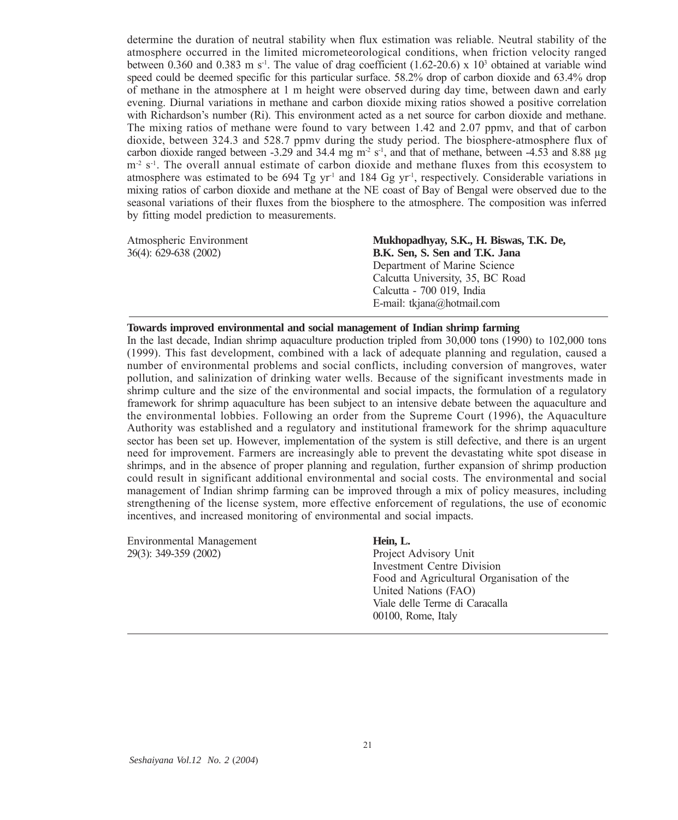determine the duration of neutral stability when flux estimation was reliable. Neutral stability of the atmosphere occurred in the limited micrometeorological conditions, when friction velocity ranged between 0.360 and 0.383 m s<sup>-1</sup>. The value of drag coefficient  $(1.62{\text -}20.6) \times 10^3$  obtained at variable wind speed could be deemed specific for this particular surface. 58.2% drop of carbon dioxide and 63.4% drop of methane in the atmosphere at 1 m height were observed during day time, between dawn and early evening. Diurnal variations in methane and carbon dioxide mixing ratios showed a positive correlation with Richardson's number (Ri). This environment acted as a net source for carbon dioxide and methane. The mixing ratios of methane were found to vary between 1.42 and 2.07 ppmv, and that of carbon dioxide, between 324.3 and 528.7 ppmv during the study period. The biosphere-atmosphere flux of carbon dioxide ranged between -3.29 and 34.4 mg m<sup>-2</sup> s<sup>-1</sup>, and that of methane, between -4.53 and 8.88  $\mu$ g  $m<sup>2</sup>$  s<sup>-1</sup>. The overall annual estimate of carbon dioxide and methane fluxes from this ecosystem to atmosphere was estimated to be 694 Tg yr<sup>-1</sup> and 184 Gg yr<sup>-1</sup>, respectively. Considerable variations in mixing ratios of carbon dioxide and methane at the NE coast of Bay of Bengal were observed due to the seasonal variations of their fluxes from the biosphere to the atmosphere. The composition was inferred by fitting model prediction to measurements.

Atmospheric Environment **Mukhopadhyay, S.K., H. Biswas, T.K. De,** 36(4): 629-638 (2002) **B.K. Sen, S. Sen and T.K. Jana** Department of Marine Science Calcutta University, 35, BC Road Calcutta - 700 019, India E-mail: tkjana@hotmail.com

#### **Towards improved environmental and social management of Indian shrimp farming**

In the last decade, Indian shrimp aquaculture production tripled from 30,000 tons (1990) to 102,000 tons (1999). This fast development, combined with a lack of adequate planning and regulation, caused a number of environmental problems and social conflicts, including conversion of mangroves, water pollution, and salinization of drinking water wells. Because of the significant investments made in shrimp culture and the size of the environmental and social impacts, the formulation of a regulatory framework for shrimp aquaculture has been subject to an intensive debate between the aquaculture and the environmental lobbies. Following an order from the Supreme Court (1996), the Aquaculture Authority was established and a regulatory and institutional framework for the shrimp aquaculture sector has been set up. However, implementation of the system is still defective, and there is an urgent need for improvement. Farmers are increasingly able to prevent the devastating white spot disease in shrimps, and in the absence of proper planning and regulation, further expansion of shrimp production could result in significant additional environmental and social costs. The environmental and social management of Indian shrimp farming can be improved through a mix of policy measures, including strengthening of the license system, more effective enforcement of regulations, the use of economic incentives, and increased monitoring of environmental and social impacts.

| Environmental Management | Hein, L.                                  |
|--------------------------|-------------------------------------------|
| 29(3): 349-359 (2002)    | Project Advisory Unit                     |
|                          | Investment Centre Division                |
|                          | Food and Agricultural Organisation of the |
|                          | United Nations (FAO)                      |
|                          | Viale delle Terme di Caracalla            |
|                          | 00100, Rome, Italy                        |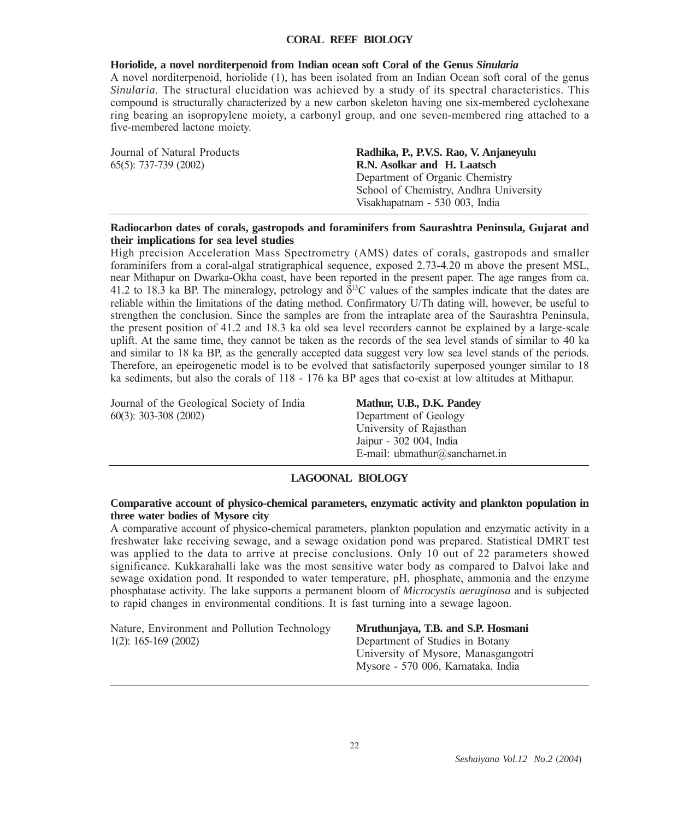# **CORAL REEF BIOLOGY**

# **Horiolide, a novel norditerpenoid from Indian ocean soft Coral of the Genus** *Sinularia*

A novel norditerpenoid, horiolide (1), has been isolated from an Indian Ocean soft coral of the genus *Sinularia*. The structural elucidation was achieved by a study of its spectral characteristics. This compound is structurally characterized by a new carbon skeleton having one six-membered cyclohexane ring bearing an isopropylene moiety, a carbonyl group, and one seven-membered ring attached to a five-membered lactone moiety.

Journal of Natural Products **Radhika, P., P.V.S. Rao, V. Anjaneyulu** 65(5): 737-739 (2002) **R.N. Asolkar and H. Laatsch** Department of Organic Chemistry School of Chemistry, Andhra University Visakhapatnam - 530 003, India

# **Radiocarbon dates of corals, gastropods and foraminifers from Saurashtra Peninsula, Gujarat and their implications for sea level studies**

High precision Acceleration Mass Spectrometry (AMS) dates of corals, gastropods and smaller foraminifers from a coral-algal stratigraphical sequence, exposed 2.73-4.20 m above the present MSL, near Mithapur on Dwarka-Okha coast, have been reported in the present paper. The age ranges from ca. 41.2 to 18.3 ka BP. The mineralogy, petrology and  $\delta^{13}$ C values of the samples indicate that the dates are reliable within the limitations of the dating method. Confirmatory U/Th dating will, however, be useful to strengthen the conclusion. Since the samples are from the intraplate area of the Saurashtra Peninsula, the present position of 41.2 and 18.3 ka old sea level recorders cannot be explained by a large-scale uplift. At the same time, they cannot be taken as the records of the sea level stands of similar to 40 ka and similar to 18 ka BP, as the generally accepted data suggest very low sea level stands of the periods. Therefore, an epeirogenetic model is to be evolved that satisfactorily superposed younger similar to 18 ka sediments, but also the corals of 118 - 176 ka BP ages that co-exist at low altitudes at Mithapur.

Journal of the Geological Society of India **Mathur, U.B., D.K. Pandey** 60(3): 303-308 (2002) Department of Geology

University of Rajasthan Jaipur - 302 004, India E-mail: ubmathur@sancharnet.in

# **LAGOONAL BIOLOGY**

#### **Comparative account of physico-chemical parameters, enzymatic activity and plankton population in three water bodies of Mysore city**

A comparative account of physico-chemical parameters, plankton population and enzymatic activity in a freshwater lake receiving sewage, and a sewage oxidation pond was prepared. Statistical DMRT test was applied to the data to arrive at precise conclusions. Only 10 out of 22 parameters showed significance. Kukkarahalli lake was the most sensitive water body as compared to Dalvoi lake and sewage oxidation pond. It responded to water temperature, pH, phosphate, ammonia and the enzyme phosphatase activity. The lake supports a permanent bloom of *Microcystis aeruginosa* and is subjected to rapid changes in environmental conditions. It is fast turning into a sewage lagoon.

Nature, Environment and Pollution Technology **Mruthunjaya, T.B. and S.P. Hosmani** 1(2): 165-169 (2002) Department of Studies in Botany

University of Mysore, Manasgangotri Mysore - 570 006, Karnataka, India